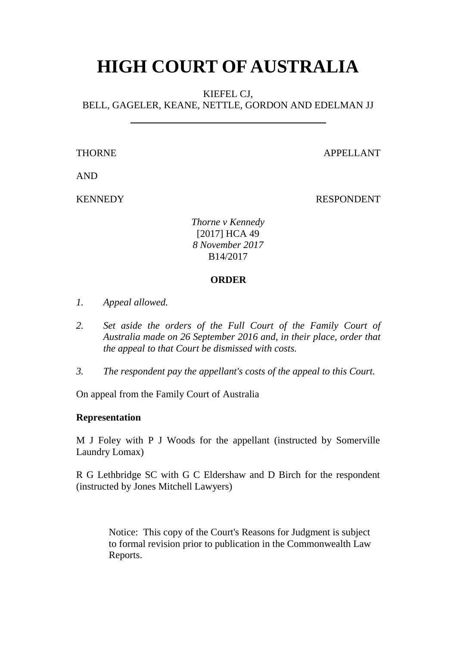# **HIGH COURT OF AUSTRALIA**

KIEFEL CJ,

BELL, GAGELER, KEANE, NETTLE, GORDON AND EDELMAN JJ

THORNE APPELLANT

AND

KENNEDY RESPONDENT

*Thorne v Kennedy* [2017] HCA 49 *8 November 2017* B14/2017

# **ORDER**

- *1. Appeal allowed.*
- 2. Set aside the orders of the Full Court of the Family Court of *Australia made on 26 September 2016 and, in their place, order that the appeal to that Court be dismissed with costs.*
- *3. The respondent pay the appellant's costs of the appeal to this Court.*

On appeal from the Family Court of Australia

# **Representation**

M J Foley with P J Woods for the appellant (instructed by Somerville Laundry Lomax)

R G Lethbridge SC with G C Eldershaw and D Birch for the respondent (instructed by Jones Mitchell Lawyers)

> Notice: This copy of the Court's Reasons for Judgment is subject to formal revision prior to publication in the Commonwealth Law Reports.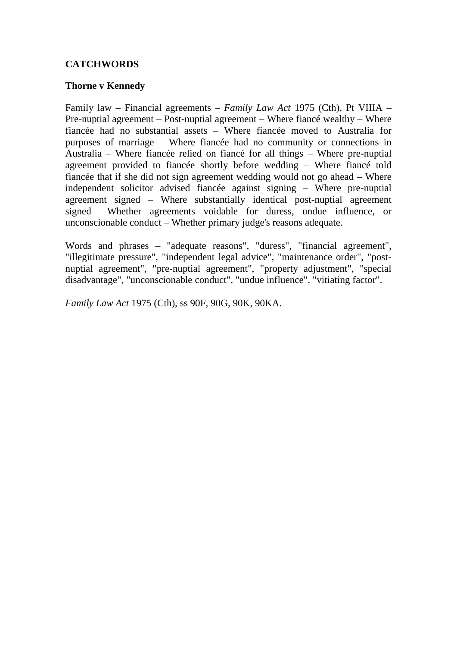# **CATCHWORDS**

# **Thorne v Kennedy**

Family law – Financial agreements – *Family Law Act* 1975 (Cth), Pt VIIIA – Pre-nuptial agreement – Post-nuptial agreement – Where fiancé wealthy – Where fiancée had no substantial assets – Where fiancée moved to Australia for purposes of marriage – Where fiancée had no community or connections in Australia – Where fiancée relied on fiancé for all things – Where pre-nuptial agreement provided to fiancée shortly before wedding – Where fiancé told fiancée that if she did not sign agreement wedding would not go ahead – Where independent solicitor advised fiancée against signing – Where pre-nuptial agreement signed – Where substantially identical post-nuptial agreement signed – Whether agreements voidable for duress, undue influence, or unconscionable conduct – Whether primary judge's reasons adequate.

Words and phrases – "adequate reasons", "duress", "financial agreement", "illegitimate pressure", "independent legal advice", "maintenance order", "postnuptial agreement", "pre-nuptial agreement", "property adjustment", "special disadvantage", "unconscionable conduct", "undue influence", "vitiating factor".

*Family Law Act* 1975 (Cth), ss 90F, 90G, 90K, 90KA.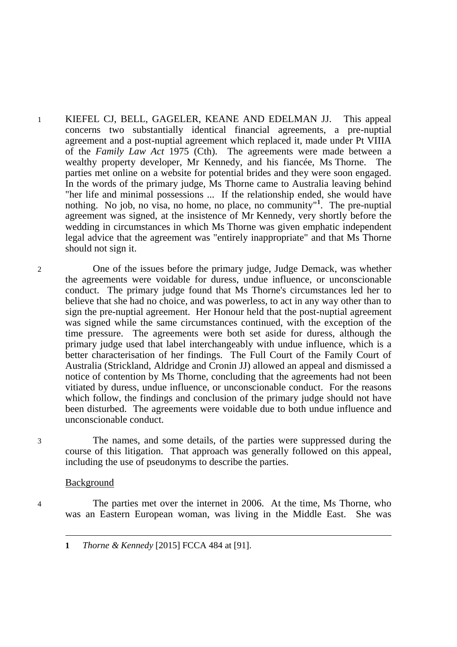- 1 KIEFEL CJ, BELL, GAGELER, KEANE AND EDELMAN JJ. This appeal concerns two substantially identical financial agreements, a pre-nuptial agreement and a post-nuptial agreement which replaced it, made under Pt VIIIA of the *Family Law Act* 1975 (Cth). The agreements were made between a wealthy property developer, Mr Kennedy, and his fiancée, Ms Thorne. The parties met online on a website for potential brides and they were soon engaged. In the words of the primary judge, Ms Thorne came to Australia leaving behind "her life and minimal possessions ... If the relationship ended, she would have nothing. No job, no visa, no home, no place, no community" **1** . The pre-nuptial agreement was signed, at the insistence of Mr Kennedy, very shortly before the wedding in circumstances in which Ms Thorne was given emphatic independent legal advice that the agreement was "entirely inappropriate" and that Ms Thorne should not sign it.
- 2 One of the issues before the primary judge, Judge Demack, was whether the agreements were voidable for duress, undue influence, or unconscionable conduct. The primary judge found that Ms Thorne's circumstances led her to believe that she had no choice, and was powerless, to act in any way other than to sign the pre-nuptial agreement. Her Honour held that the post-nuptial agreement was signed while the same circumstances continued, with the exception of the time pressure. The agreements were both set aside for duress, although the primary judge used that label interchangeably with undue influence, which is a better characterisation of her findings. The Full Court of the Family Court of Australia (Strickland, Aldridge and Cronin JJ) allowed an appeal and dismissed a notice of contention by Ms Thorne, concluding that the agreements had not been vitiated by duress, undue influence, or unconscionable conduct. For the reasons which follow, the findings and conclusion of the primary judge should not have been disturbed. The agreements were voidable due to both undue influence and unconscionable conduct.

3 The names, and some details, of the parties were suppressed during the course of this litigation. That approach was generally followed on this appeal, including the use of pseudonyms to describe the parties.

#### Background

 $\overline{a}$ 

4 The parties met over the internet in 2006. At the time, Ms Thorne, who was an Eastern European woman, was living in the Middle East. She was

**1** *Thorne & Kennedy* [2015] FCCA 484 at [91].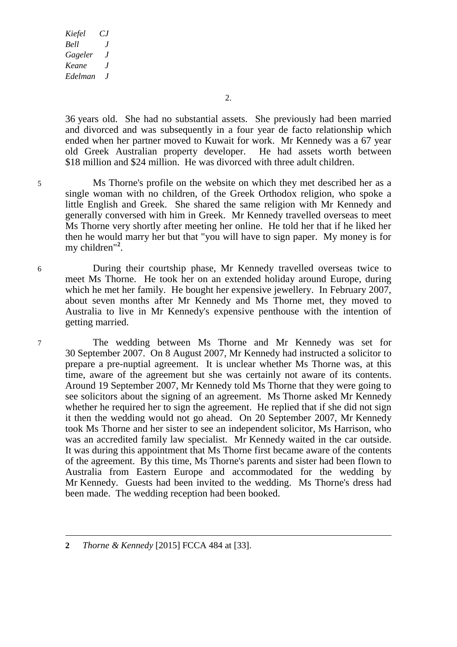2.

36 years old. She had no substantial assets. She previously had been married and divorced and was subsequently in a four year de facto relationship which ended when her partner moved to Kuwait for work. Mr Kennedy was a 67 year old Greek Australian property developer. He had assets worth between old Greek Australian property developer. \$18 million and \$24 million. He was divorced with three adult children.

- 5 Ms Thorne's profile on the website on which they met described her as a single woman with no children, of the Greek Orthodox religion, who spoke a little English and Greek. She shared the same religion with Mr Kennedy and generally conversed with him in Greek. Mr Kennedy travelled overseas to meet Ms Thorne very shortly after meeting her online. He told her that if he liked her then he would marry her but that "you will have to sign paper. My money is for my children"**<sup>2</sup>** .
- 6 During their courtship phase, Mr Kennedy travelled overseas twice to meet Ms Thorne. He took her on an extended holiday around Europe, during which he met her family. He bought her expensive jewellery. In February 2007, about seven months after Mr Kennedy and Ms Thorne met, they moved to Australia to live in Mr Kennedy's expensive penthouse with the intention of getting married.

7 The wedding between Ms Thorne and Mr Kennedy was set for 30 September 2007. On 8 August 2007, Mr Kennedy had instructed a solicitor to prepare a pre-nuptial agreement. It is unclear whether Ms Thorne was, at this time, aware of the agreement but she was certainly not aware of its contents. Around 19 September 2007, Mr Kennedy told Ms Thorne that they were going to see solicitors about the signing of an agreement. Ms Thorne asked Mr Kennedy whether he required her to sign the agreement. He replied that if she did not sign it then the wedding would not go ahead. On 20 September 2007, Mr Kennedy took Ms Thorne and her sister to see an independent solicitor, Ms Harrison, who was an accredited family law specialist. Mr Kennedy waited in the car outside. It was during this appointment that Ms Thorne first became aware of the contents of the agreement. By this time, Ms Thorne's parents and sister had been flown to Australia from Eastern Europe and accommodated for the wedding by Mr Kennedy. Guests had been invited to the wedding. Ms Thorne's dress had been made. The wedding reception had been booked.

**<sup>2</sup>** *Thorne & Kennedy* [2015] FCCA 484 at [33].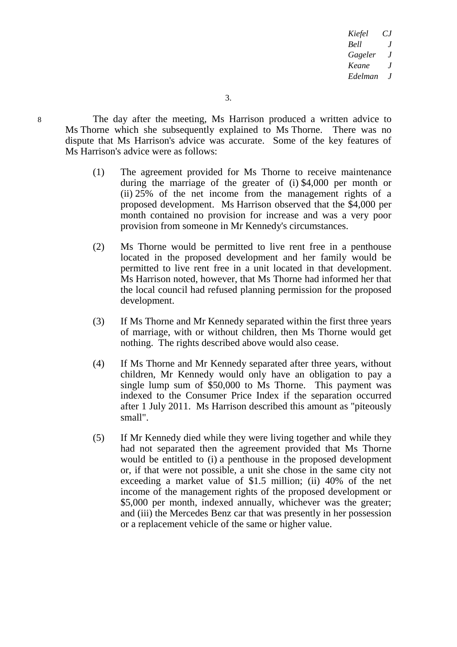8 The day after the meeting, Ms Harrison produced a written advice to Ms Thorne which she subsequently explained to Ms Thorne. There was no dispute that Ms Harrison's advice was accurate. Some of the key features of Ms Harrison's advice were as follows:

- (1) The agreement provided for Ms Thorne to receive maintenance during the marriage of the greater of (i) \$4,000 per month or (ii) 25% of the net income from the management rights of a proposed development. Ms Harrison observed that the \$4,000 per month contained no provision for increase and was a very poor provision from someone in Mr Kennedy's circumstances.
- (2) Ms Thorne would be permitted to live rent free in a penthouse located in the proposed development and her family would be permitted to live rent free in a unit located in that development. Ms Harrison noted, however, that Ms Thorne had informed her that the local council had refused planning permission for the proposed development.
- (3) If Ms Thorne and Mr Kennedy separated within the first three years of marriage, with or without children, then Ms Thorne would get nothing. The rights described above would also cease.
- (4) If Ms Thorne and Mr Kennedy separated after three years, without children, Mr Kennedy would only have an obligation to pay a single lump sum of \$50,000 to Ms Thorne. This payment was indexed to the Consumer Price Index if the separation occurred after 1 July 2011. Ms Harrison described this amount as "piteously small".
- (5) If Mr Kennedy died while they were living together and while they had not separated then the agreement provided that Ms Thorne would be entitled to (i) a penthouse in the proposed development or, if that were not possible, a unit she chose in the same city not exceeding a market value of \$1.5 million; (ii) 40% of the net income of the management rights of the proposed development or \$5,000 per month, indexed annually, whichever was the greater; and (iii) the Mercedes Benz car that was presently in her possession or a replacement vehicle of the same or higher value.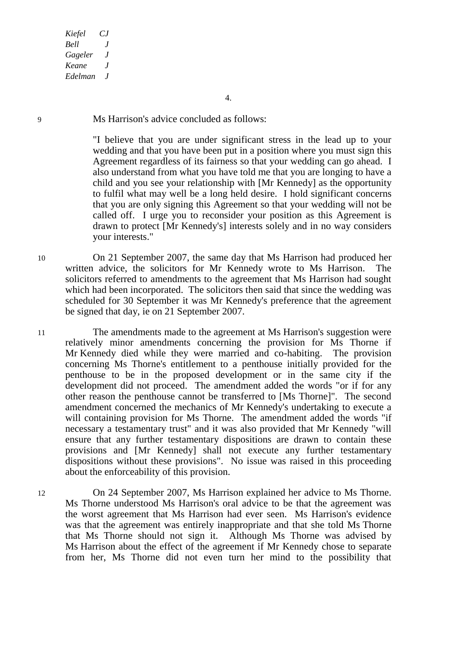9 Ms Harrison's advice concluded as follows:

"I believe that you are under significant stress in the lead up to your wedding and that you have been put in a position where you must sign this Agreement regardless of its fairness so that your wedding can go ahead. I also understand from what you have told me that you are longing to have a child and you see your relationship with [Mr Kennedy] as the opportunity to fulfil what may well be a long held desire. I hold significant concerns that you are only signing this Agreement so that your wedding will not be called off. I urge you to reconsider your position as this Agreement is drawn to protect [Mr Kennedy's] interests solely and in no way considers your interests."

10 On 21 September 2007, the same day that Ms Harrison had produced her written advice, the solicitors for Mr Kennedy wrote to Ms Harrison. The solicitors referred to amendments to the agreement that Ms Harrison had sought which had been incorporated. The solicitors then said that since the wedding was scheduled for 30 September it was Mr Kennedy's preference that the agreement be signed that day, ie on 21 September 2007.

11 The amendments made to the agreement at Ms Harrison's suggestion were relatively minor amendments concerning the provision for Ms Thorne if Mr Kennedy died while they were married and co-habiting. The provision concerning Ms Thorne's entitlement to a penthouse initially provided for the penthouse to be in the proposed development or in the same city if the development did not proceed. The amendment added the words "or if for any other reason the penthouse cannot be transferred to [Ms Thorne]". The second amendment concerned the mechanics of Mr Kennedy's undertaking to execute a will containing provision for Ms Thorne. The amendment added the words "if necessary a testamentary trust" and it was also provided that Mr Kennedy "will ensure that any further testamentary dispositions are drawn to contain these provisions and [Mr Kennedy] shall not execute any further testamentary dispositions without these provisions". No issue was raised in this proceeding about the enforceability of this provision.

12 On 24 September 2007, Ms Harrison explained her advice to Ms Thorne. Ms Thorne understood Ms Harrison's oral advice to be that the agreement was the worst agreement that Ms Harrison had ever seen. Ms Harrison's evidence was that the agreement was entirely inappropriate and that she told Ms Thorne that Ms Thorne should not sign it. Although Ms Thorne was advised by Ms Harrison about the effect of the agreement if Mr Kennedy chose to separate from her, Ms Thorne did not even turn her mind to the possibility that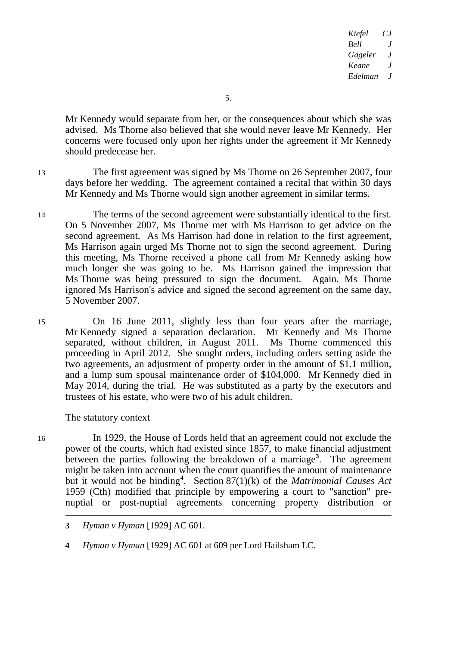5.

Mr Kennedy would separate from her, or the consequences about which she was advised. Ms Thorne also believed that she would never leave Mr Kennedy. Her concerns were focused only upon her rights under the agreement if Mr Kennedy should predecease her.

13 The first agreement was signed by Ms Thorne on 26 September 2007, four days before her wedding. The agreement contained a recital that within 30 days Mr Kennedy and Ms Thorne would sign another agreement in similar terms.

- 14 The terms of the second agreement were substantially identical to the first. On 5 November 2007, Ms Thorne met with Ms Harrison to get advice on the second agreement. As Ms Harrison had done in relation to the first agreement, Ms Harrison again urged Ms Thorne not to sign the second agreement. During this meeting, Ms Thorne received a phone call from Mr Kennedy asking how much longer she was going to be. Ms Harrison gained the impression that Ms Thorne was being pressured to sign the document. Again, Ms Thorne ignored Ms Harrison's advice and signed the second agreement on the same day, 5 November 2007.
- 15 On 16 June 2011, slightly less than four years after the marriage, Mr Kennedy signed a separation declaration. Mr Kennedy and Ms Thorne separated, without children, in August 2011. Ms Thorne commenced this proceeding in April 2012. She sought orders, including orders setting aside the two agreements, an adjustment of property order in the amount of \$1.1 million, and a lump sum spousal maintenance order of \$104,000. Mr Kennedy died in May 2014, during the trial. He was substituted as a party by the executors and trustees of his estate, who were two of his adult children.

# The statutory context

 $\overline{a}$ 

16 In 1929, the House of Lords held that an agreement could not exclude the power of the courts, which had existed since 1857, to make financial adjustment between the parties following the breakdown of a marriage**<sup>3</sup>** . The agreement might be taken into account when the court quantifies the amount of maintenance but it would not be binding**<sup>4</sup>** . Section 87(1)(k) of the *Matrimonial Causes Act*  1959 (Cth) modified that principle by empowering a court to "sanction" prenuptial or post-nuptial agreements concerning property distribution or

**4** *Hyman v Hyman* [1929] AC 601 at 609 per Lord Hailsham LC.

**<sup>3</sup>** *Hyman v Hyman* [1929] AC 601.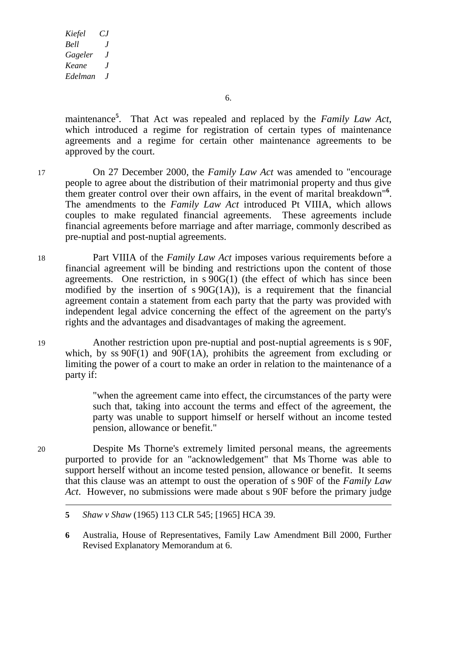6.

maintenance**<sup>5</sup>** . That Act was repealed and replaced by the *Family Law Act*, which introduced a regime for registration of certain types of maintenance agreements and a regime for certain other maintenance agreements to be approved by the court.

- 17 On 27 December 2000, the *Family Law Act* was amended to "encourage people to agree about the distribution of their matrimonial property and thus give them greater control over their own affairs, in the event of marital breakdown"**<sup>6</sup>** . The amendments to the *Family Law Act* introduced Pt VIIIA, which allows couples to make regulated financial agreements. These agreements include financial agreements before marriage and after marriage, commonly described as pre-nuptial and post-nuptial agreements.
- 18 Part VIIIA of the *Family Law Act* imposes various requirements before a financial agreement will be binding and restrictions upon the content of those agreements. One restriction, in s 90G(1) (the effect of which has since been modified by the insertion of  $s\ 90G(1A)$ , is a requirement that the financial agreement contain a statement from each party that the party was provided with independent legal advice concerning the effect of the agreement on the party's rights and the advantages and disadvantages of making the agreement.
- 19 Another restriction upon pre-nuptial and post-nuptial agreements is s 90F, which, by ss  $90F(1)$  and  $90F(1)$ , prohibits the agreement from excluding or limiting the power of a court to make an order in relation to the maintenance of a party if:

"when the agreement came into effect, the circumstances of the party were such that, taking into account the terms and effect of the agreement, the party was unable to support himself or herself without an income tested pension, allowance or benefit."

20 Despite Ms Thorne's extremely limited personal means, the agreements purported to provide for an "acknowledgement" that Ms Thorne was able to support herself without an income tested pension, allowance or benefit. It seems that this clause was an attempt to oust the operation of s 90F of the *Family Law Act*. However, no submissions were made about s 90F before the primary judge

**6** Australia, House of Representatives, Family Law Amendment Bill 2000, Further Revised Explanatory Memorandum at 6.

-

**<sup>5</sup>** *Shaw v Shaw* (1965) 113 CLR 545; [1965] HCA 39.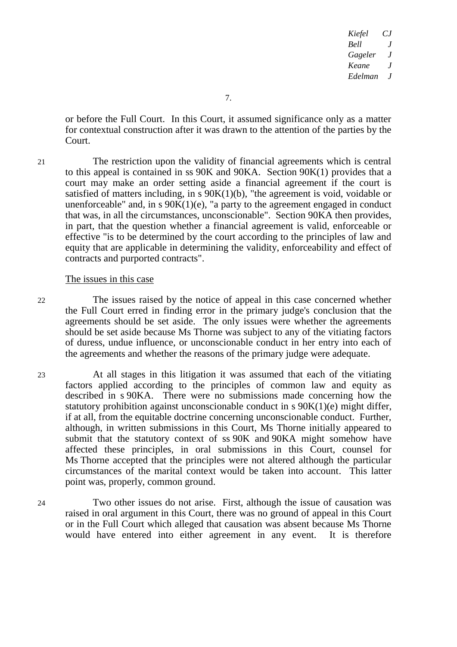or before the Full Court. In this Court, it assumed significance only as a matter for contextual construction after it was drawn to the attention of the parties by the Court.

21 The restriction upon the validity of financial agreements which is central to this appeal is contained in ss 90K and 90KA. Section 90K(1) provides that a court may make an order setting aside a financial agreement if the court is satisfied of matters including, in  $\overline{s}$  90K(1)(b), "the agreement is void, voidable or unenforceable" and, in  $s$  90 $K(1)(e)$ , "a party to the agreement engaged in conduct that was, in all the circumstances, unconscionable". Section 90KA then provides, in part, that the question whether a financial agreement is valid, enforceable or effective "is to be determined by the court according to the principles of law and equity that are applicable in determining the validity, enforceability and effect of contracts and purported contracts".

#### The issues in this case

22 The issues raised by the notice of appeal in this case concerned whether the Full Court erred in finding error in the primary judge's conclusion that the agreements should be set aside. The only issues were whether the agreements should be set aside because Ms Thorne was subject to any of the vitiating factors of duress, undue influence, or unconscionable conduct in her entry into each of the agreements and whether the reasons of the primary judge were adequate.

- 23 At all stages in this litigation it was assumed that each of the vitiating factors applied according to the principles of common law and equity as described in s 90KA. There were no submissions made concerning how the statutory prohibition against unconscionable conduct in s 90K(1)(e) might differ, if at all, from the equitable doctrine concerning unconscionable conduct. Further, although, in written submissions in this Court, Ms Thorne initially appeared to submit that the statutory context of ss 90K and 90KA might somehow have affected these principles, in oral submissions in this Court, counsel for Ms Thorne accepted that the principles were not altered although the particular circumstances of the marital context would be taken into account. This latter point was, properly, common ground.
- 24 Two other issues do not arise. First, although the issue of causation was raised in oral argument in this Court, there was no ground of appeal in this Court or in the Full Court which alleged that causation was absent because Ms Thorne would have entered into either agreement in any event. It is therefore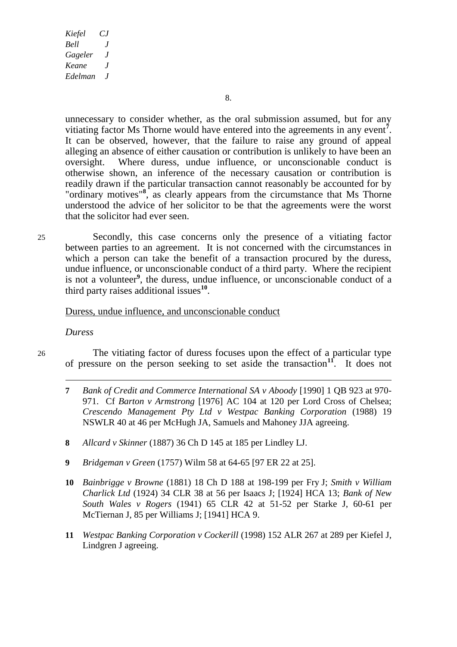unnecessary to consider whether, as the oral submission assumed, but for any vitiating factor Ms Thorne would have entered into the agreements in any event**<sup>7</sup>** . It can be observed, however, that the failure to raise any ground of appeal alleging an absence of either causation or contribution is unlikely to have been an oversight. Where duress, undue influence, or unconscionable conduct is otherwise shown, an inference of the necessary causation or contribution is readily drawn if the particular transaction cannot reasonably be accounted for by "ordinary motives"<sup>8</sup>, as clearly appears from the circumstance that Ms Thorne understood the advice of her solicitor to be that the agreements were the worst that the solicitor had ever seen.

25 Secondly, this case concerns only the presence of a vitiating factor between parties to an agreement. It is not concerned with the circumstances in which a person can take the benefit of a transaction procured by the duress, undue influence, or unconscionable conduct of a third party. Where the recipient is not a volunteer<sup>9</sup>, the duress, undue influence, or unconscionable conduct of a third party raises additional issues**<sup>10</sup>** .

### Duress, undue influence, and unconscionable conduct

#### *Duress*

-

26 The vitiating factor of duress focuses upon the effect of a particular type of pressure on the person seeking to set aside the transaction**<sup>11</sup>**. It does not

- **7** *Bank of Credit and Commerce International SA v Aboody* [1990] 1 QB 923 at 970- 971. Cf *Barton v Armstrong* [1976] AC 104 at 120 per Lord Cross of Chelsea; *Crescendo Management Pty Ltd v Westpac Banking Corporation* (1988) 19 NSWLR 40 at 46 per McHugh JA, Samuels and Mahoney JJA agreeing.
- **8** *Allcard v Skinner* (1887) 36 Ch D 145 at 185 per Lindley LJ.
- **9** *Bridgeman v Green* (1757) Wilm 58 at 64-65 [97 ER 22 at 25].
- **10** *Bainbrigge v Browne* (1881) 18 Ch D 188 at 198-199 per Fry J; *Smith v William Charlick Ltd* (1924) 34 CLR 38 at 56 per Isaacs J; [1924] HCA 13; *Bank of New South Wales v Rogers* (1941) 65 CLR 42 at 51-52 per Starke J, 60-61 per McTiernan J, 85 per Williams J; [1941] HCA 9.
- **11** *Westpac Banking Corporation v Cockerill* (1998) 152 ALR 267 at 289 per Kiefel J, Lindgren J agreeing.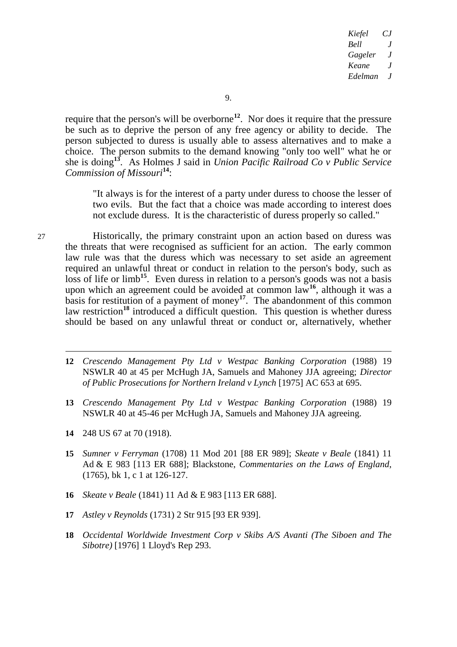require that the person's will be overborne**<sup>12</sup>**. Nor does it require that the pressure be such as to deprive the person of any free agency or ability to decide. The person subjected to duress is usually able to assess alternatives and to make a choice. The person submits to the demand knowing "only too well" what he or she is doing**<sup>13</sup>**. As Holmes J said in *Union Pacific Railroad Co v Public Service Commission of Missouri***<sup>14</sup>**:

"It always is for the interest of a party under duress to choose the lesser of two evils. But the fact that a choice was made according to interest does not exclude duress. It is the characteristic of duress properly so called."

27 Historically, the primary constraint upon an action based on duress was the threats that were recognised as sufficient for an action. The early common law rule was that the duress which was necessary to set aside an agreement required an unlawful threat or conduct in relation to the person's body, such as loss of life or limb<sup>15</sup>. Even duress in relation to a person's goods was not a basis upon which an agreement could be avoided at common law**<sup>16</sup>**, although it was a basis for restitution of a payment of money**<sup>17</sup>**. The abandonment of this common law restriction<sup>18</sup> introduced a difficult question. This question is whether duress should be based on any unlawful threat or conduct or, alternatively, whether

- -**12** *Crescendo Management Pty Ltd v Westpac Banking Corporation* (1988) 19 NSWLR 40 at 45 per McHugh JA, Samuels and Mahoney JJA agreeing; *Director of Public Prosecutions for Northern Ireland v Lynch* [1975] AC 653 at 695.
- **13** *Crescendo Management Pty Ltd v Westpac Banking Corporation* (1988) 19 NSWLR 40 at 45-46 per McHugh JA, Samuels and Mahoney JJA agreeing.
- **14** 248 US 67 at 70 (1918).
- **15** *Sumner v Ferryman* (1708) 11 Mod 201 [88 ER 989]; *Skeate v Beale* (1841) 11 Ad & E 983 [113 ER 688]; Blackstone, *Commentaries on the Laws of England*, (1765), bk 1, c 1 at 126-127.
- **16** *Skeate v Beale* (1841) 11 Ad & E 983 [113 ER 688].
- **17** *Astley v Reynolds* (1731) 2 Str 915 [93 ER 939].
- **18** *Occidental Worldwide Investment Corp v Skibs A/S Avanti (The Siboen and The Sibotre)* [1976] 1 Lloyd's Rep 293.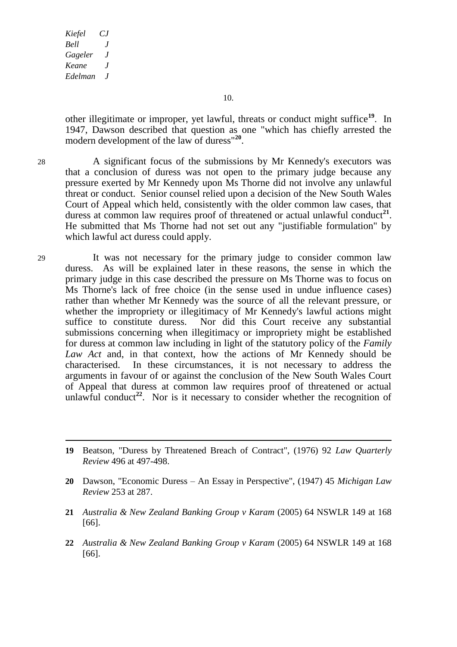10.

other illegitimate or improper, yet lawful, threats or conduct might suffice**<sup>19</sup>**. In 1947, Dawson described that question as one "which has chiefly arrested the modern development of the law of duress"**<sup>20</sup>** .

28 A significant focus of the submissions by Mr Kennedy's executors was that a conclusion of duress was not open to the primary judge because any pressure exerted by Mr Kennedy upon Ms Thorne did not involve any unlawful threat or conduct. Senior counsel relied upon a decision of the New South Wales Court of Appeal which held, consistently with the older common law cases, that duress at common law requires proof of threatened or actual unlawful conduct<sup>21</sup>. He submitted that Ms Thorne had not set out any "justifiable formulation" by which lawful act duress could apply.

29 It was not necessary for the primary judge to consider common law duress. As will be explained later in these reasons, the sense in which the primary judge in this case described the pressure on Ms Thorne was to focus on Ms Thorne's lack of free choice (in the sense used in undue influence cases) rather than whether Mr Kennedy was the source of all the relevant pressure, or whether the impropriety or illegitimacy of Mr Kennedy's lawful actions might suffice to constitute duress. Nor did this Court receive any substantial submissions concerning when illegitimacy or impropriety might be established for duress at common law including in light of the statutory policy of the *Family Law Act* and, in that context, how the actions of Mr Kennedy should be characterised. In these circumstances, it is not necessary to address the arguments in favour of or against the conclusion of the New South Wales Court of Appeal that duress at common law requires proof of threatened or actual unlawful conduct<sup>22</sup>. Nor is it necessary to consider whether the recognition of

- **21** *Australia & New Zealand Banking Group v Karam* (2005) 64 NSWLR 149 at 168 [66].
- **22** *Australia & New Zealand Banking Group v Karam* (2005) 64 NSWLR 149 at 168 [66].

**<sup>19</sup>** Beatson, "Duress by Threatened Breach of Contract", (1976) 92 *Law Quarterly Review* 496 at 497-498.

**<sup>20</sup>** Dawson, "Economic Duress – An Essay in Perspective", (1947) 45 *Michigan Law Review* 253 at 287.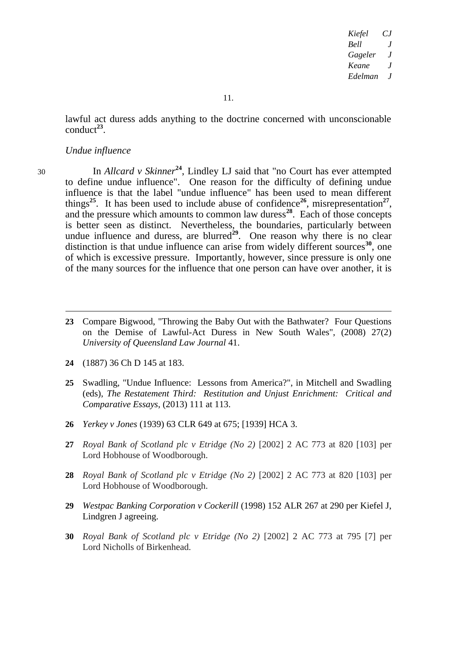lawful act duress adds anything to the doctrine concerned with unconscionable  $\text{conduct}^{23}$ .

#### *Undue influence*

-

<sup>30</sup> In *Allcard v Skinner***<sup>24</sup>** , Lindley LJ said that "no Court has ever attempted to define undue influence". One reason for the difficulty of defining undue influence is that the label "undue influence" has been used to mean different things<sup>25</sup>. It has been used to include abuse of confidence<sup>26</sup>, misrepresentation<sup>27</sup>, and the pressure which amounts to common law duress**<sup>28</sup>**. Each of those concepts is better seen as distinct. Nevertheless, the boundaries, particularly between undue influence and duress, are blurred<sup> $29$ </sup>. One reason why there is no clear distinction is that undue influence can arise from widely different sources<sup>30</sup>, one of which is excessive pressure. Importantly, however, since pressure is only one of the many sources for the influence that one person can have over another, it is

- **23** Compare Bigwood, "Throwing the Baby Out with the Bathwater? Four Questions on the Demise of Lawful-Act Duress in New South Wales", (2008) 27(2) *University of Queensland Law Journal* 41.
- **24** (1887) 36 Ch D 145 at 183.
- **25** Swadling, "Undue Influence: Lessons from America?", in Mitchell and Swadling (eds), *The Restatement Third: Restitution and Unjust Enrichment: Critical and Comparative Essays*, (2013) 111 at 113.
- **26** *Yerkey v Jones* (1939) 63 CLR 649 at 675; [1939] HCA 3.
- **27** *Royal Bank of Scotland plc v Etridge (No 2)* [2002] 2 AC 773 at 820 [103] per Lord Hobhouse of Woodborough.
- **28** *Royal Bank of Scotland plc v Etridge (No 2)* [2002] 2 AC 773 at 820 [103] per Lord Hobhouse of Woodborough.
- **29** *Westpac Banking Corporation v Cockerill* (1998) 152 ALR 267 at 290 per Kiefel J, Lindgren J agreeing.
- **30** *Royal Bank of Scotland plc v Etridge (No 2)* [2002] 2 AC 773 at 795 [7] per Lord Nicholls of Birkenhead.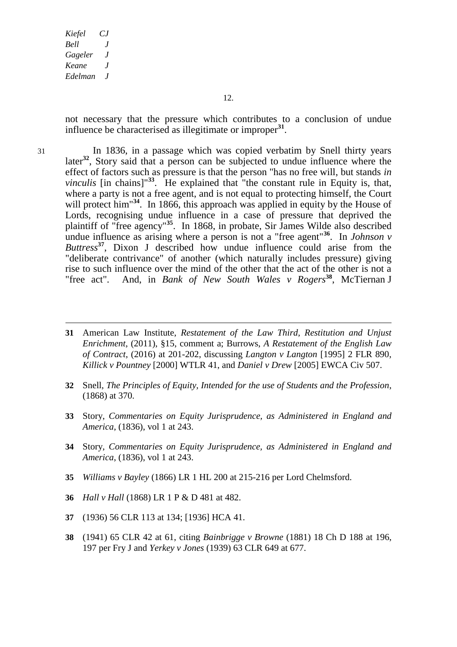not necessary that the pressure which contributes to a conclusion of undue influence be characterised as illegitimate or improper**<sup>31</sup>** .

31 In 1836, in a passage which was copied verbatim by Snell thirty years later**<sup>32</sup>** , Story said that a person can be subjected to undue influence where the effect of factors such as pressure is that the person "has no free will, but stands *in vinculis* [in chains]<sup>"33</sup>. He explained that "the constant rule in Equity is, that, where a party is not a free agent, and is not equal to protecting himself, the Court will protect him<sup>34</sup>. In 1866, this approach was applied in equity by the House of Lords, recognising undue influence in a case of pressure that deprived the plaintiff of "free agency"**<sup>35</sup>**. In 1868, in probate, Sir James Wilde also described undue influence as arising where a person is not a "free agent"<sup>36</sup>. In *Johnson v Buttress***<sup>37</sup>**, Dixon J described how undue influence could arise from the "deliberate contrivance" of another (which naturally includes pressure) giving rise to such influence over the mind of the other that the act of the other is not a "free act". And, in *Bank of New South Wales v Rogers***<sup>38</sup>**, McTiernan J

- **31** American Law Institute, *Restatement of the Law Third, Restitution and Unjust Enrichment*, (2011), §15, comment a; Burrows, *A Restatement of the English Law of Contract*, (2016) at 201-202, discussing *Langton v Langton* [1995] 2 FLR 890, *Killick v Pountney* [2000] WTLR 41, and *Daniel v Drew* [2005] EWCA Civ 507.
- **32** Snell, *The Principles of Equity, Intended for the use of Students and the Profession*, (1868) at 370.
- **33** Story, *Commentaries on Equity Jurisprudence, as Administered in England and America*, (1836), vol 1 at 243.
- **34** Story, *Commentaries on Equity Jurisprudence, as Administered in England and America*, (1836), vol 1 at 243.
- **35** *Williams v Bayley* (1866) LR 1 HL 200 at 215-216 per Lord Chelmsford.
- **36** *Hall v Hall* (1868) LR 1 P & D 481 at 482.
- **37** (1936) 56 CLR 113 at 134; [1936] HCA 41.
- **38** (1941) 65 CLR 42 at 61, citing *Bainbrigge v Browne* (1881) 18 Ch D 188 at 196, 197 per Fry J and *Yerkey v Jones* (1939) 63 CLR 649 at 677.

-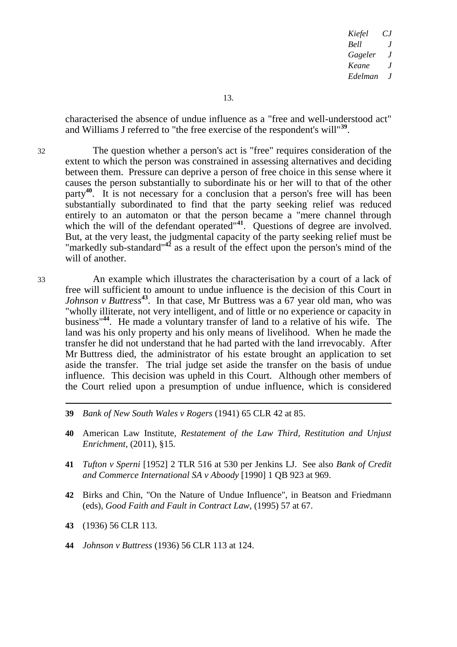characterised the absence of undue influence as a "free and well-understood act" and Williams J referred to "the free exercise of the respondent's will"**<sup>39</sup>** .

32 The question whether a person's act is "free" requires consideration of the extent to which the person was constrained in assessing alternatives and deciding between them. Pressure can deprive a person of free choice in this sense where it causes the person substantially to subordinate his or her will to that of the other party**<sup>40</sup>**. It is not necessary for a conclusion that a person's free will has been substantially subordinated to find that the party seeking relief was reduced entirely to an automaton or that the person became a "mere channel through which the will of the defendant operated<sup>"41</sup>. Questions of degree are involved. But, at the very least, the judgmental capacity of the party seeking relief must be "markedly sub-standard"**<sup>42</sup>** as a result of the effect upon the person's mind of the will of another.

33 An example which illustrates the characterisation by a court of a lack of free will sufficient to amount to undue influence is the decision of this Court in *Johnson v Buttress*<sup>43</sup>. In that case, Mr Buttress was a 67 year old man, who was "wholly illiterate, not very intelligent, and of little or no experience or capacity in business"**<sup>44</sup>**. He made a voluntary transfer of land to a relative of his wife. The land was his only property and his only means of livelihood. When he made the transfer he did not understand that he had parted with the land irrevocably. After Mr Buttress died, the administrator of his estate brought an application to set aside the transfer. The trial judge set aside the transfer on the basis of undue influence. This decision was upheld in this Court. Although other members of the Court relied upon a presumption of undue influence, which is considered

- **39** *Bank of New South Wales v Rogers* (1941) 65 CLR 42 at 85.
- **40** American Law Institute, *Restatement of the Law Third, Restitution and Unjust Enrichment*, (2011), §15.
- **41** *Tufton v Sperni* [1952] 2 TLR 516 at 530 per Jenkins LJ. See also *Bank of Credit and Commerce International SA v Aboody* [1990] 1 QB 923 at 969.
- **42** Birks and Chin, "On the Nature of Undue Influence", in Beatson and Friedmann (eds), *Good Faith and Fault in Contract Law*, (1995) 57 at 67.
- **43** (1936) 56 CLR 113.

-

**44** *Johnson v Buttress* (1936) 56 CLR 113 at 124.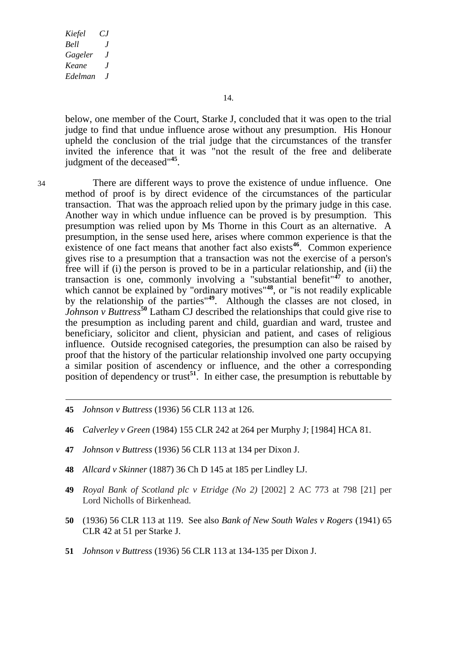14.

below, one member of the Court, Starke J, concluded that it was open to the trial judge to find that undue influence arose without any presumption. His Honour upheld the conclusion of the trial judge that the circumstances of the transfer invited the inference that it was "not the result of the free and deliberate judgment of the deceased"**<sup>45</sup>** .

 $\overline{a}$ 

34 There are different ways to prove the existence of undue influence. One method of proof is by direct evidence of the circumstances of the particular transaction. That was the approach relied upon by the primary judge in this case. Another way in which undue influence can be proved is by presumption. This presumption was relied upon by Ms Thorne in this Court as an alternative. A presumption, in the sense used here, arises where common experience is that the existence of one fact means that another fact also exists<sup>46</sup>. Common experience gives rise to a presumption that a transaction was not the exercise of a person's free will if (i) the person is proved to be in a particular relationship, and (ii) the transaction is one, commonly involving a "substantial benefit"**<sup>47</sup>** to another, which cannot be explained by "ordinary motives"<sup>48</sup>, or "is not readily explicable by the relationship of the parties<sup>"49</sup>. Although the classes are not closed, in *Johnson v Buttress***<sup>50</sup>** Latham CJ described the relationships that could give rise to the presumption as including parent and child, guardian and ward, trustee and beneficiary, solicitor and client, physician and patient, and cases of religious influence. Outside recognised categories, the presumption can also be raised by proof that the history of the particular relationship involved one party occupying a similar position of ascendency or influence, and the other a corresponding position of dependency or trust**<sup>51</sup>**. In either case, the presumption is rebuttable by

- **45** *Johnson v Buttress* (1936) 56 CLR 113 at 126.
- **46** *Calverley v Green* (1984) 155 CLR 242 at 264 per Murphy J; [1984] HCA 81.
- **47** *Johnson v Buttress* (1936) 56 CLR 113 at 134 per Dixon J.
- **48** *Allcard v Skinner* (1887) 36 Ch D 145 at 185 per Lindley LJ.
- **49** *Royal Bank of Scotland plc v Etridge (No 2)* [2002] 2 AC 773 at 798 [21] per Lord Nicholls of Birkenhead.
- **50** (1936) 56 CLR 113 at 119. See also *Bank of New South Wales v Rogers* (1941) 65 CLR 42 at 51 per Starke J.
- **51** *Johnson v Buttress* (1936) 56 CLR 113 at 134-135 per Dixon J.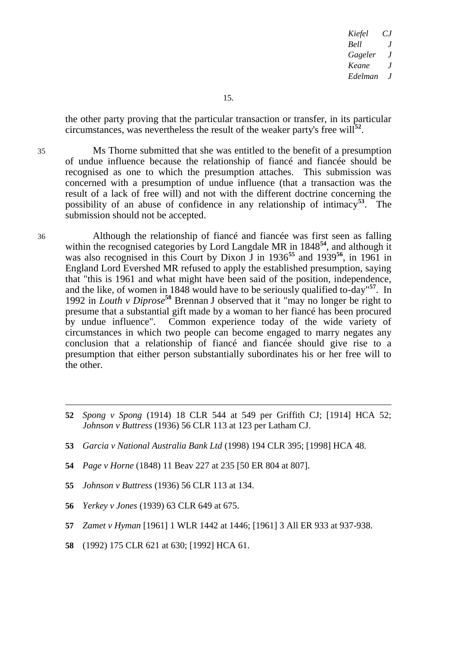the other party proving that the particular transaction or transfer, in its particular circumstances, was nevertheless the result of the weaker party's free will**<sup>52</sup>** .

35 Ms Thorne submitted that she was entitled to the benefit of a presumption of undue influence because the relationship of fiancé and fiancée should be recognised as one to which the presumption attaches. This submission was concerned with a presumption of undue influence (that a transaction was the result of a lack of free will) and not with the different doctrine concerning the possibility of an abuse of confidence in any relationship of intimacy**<sup>53</sup>**. The submission should not be accepted.

36 Although the relationship of fiancé and fiancée was first seen as falling within the recognised categories by Lord Langdale MR in 1848<sup>54</sup>, and although it was also recognised in this Court by Dixon J in 1936**<sup>55</sup>** and 1939**<sup>56</sup>**, in 1961 in England Lord Evershed MR refused to apply the established presumption, saying that "this is 1961 and what might have been said of the position, independence, and the like, of women in 1848 would have to be seriously qualified to-day" **<sup>57</sup>**. In 1992 in *Louth v Diprose***<sup>58</sup>** Brennan J observed that it "may no longer be right to presume that a substantial gift made by a woman to her fiancé has been procured by undue influence". Common experience today of the wide variety of circumstances in which two people can become engaged to marry negates any conclusion that a relationship of fiancé and fiancée should give rise to a presumption that either person substantially subordinates his or her free will to the other.

- **57** *Zamet v Hyman* [1961] 1 WLR 1442 at 1446; [1961] 3 All ER 933 at 937-938.
- **58** (1992) 175 CLR 621 at 630; [1992] HCA 61.

<sup>-</sup>**52** *Spong v Spong* (1914) 18 CLR 544 at 549 per Griffith CJ; [1914] HCA 52; *Johnson v Buttress* (1936) 56 CLR 113 at 123 per Latham CJ.

**<sup>53</sup>** *Garcia v National Australia Bank Ltd* (1998) 194 CLR 395; [1998] HCA 48.

**<sup>54</sup>** *Page v Horne* (1848) 11 Beav 227 at 235 [50 ER 804 at 807].

**<sup>55</sup>** *Johnson v Buttress* (1936) 56 CLR 113 at 134.

**<sup>56</sup>** *Yerkey v Jones* (1939) 63 CLR 649 at 675.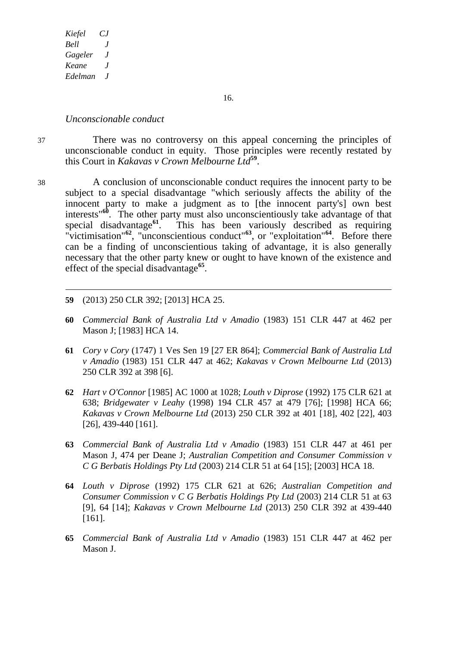16.

#### *Unconscionable conduct*

-

37 There was no controversy on this appeal concerning the principles of unconscionable conduct in equity. Those principles were recently restated by this Court in *Kakavas v Crown Melbourne Ltd***<sup>59</sup>** .

- 38 A conclusion of unconscionable conduct requires the innocent party to be subject to a special disadvantage "which seriously affects the ability of the innocent party to make a judgment as to [the innocent party's] own best interests"**<sup>60</sup>** .The other party must also unconscientiously take advantage of that special disadvantage**<sup>61</sup>**. This has been variously described as requiring "victimisation"<sup>62</sup>, "unconscientious conduct"<sup>63</sup>, or "exploitation"<sup>64</sup>. Before there can be a finding of unconscientious taking of advantage, it is also generally necessary that the other party knew or ought to have known of the existence and effect of the special disadvantage**<sup>65</sup>** .
	- **59** (2013) 250 CLR 392; [2013] HCA 25.
	- **60** *Commercial Bank of Australia Ltd v Amadio* (1983) 151 CLR 447 at 462 per Mason J; [1983] HCA 14.
	- **61** *Cory v Cory* (1747) 1 Ves Sen 19 [27 ER 864]; *Commercial Bank of Australia Ltd v Amadio* (1983) 151 CLR 447 at 462; *Kakavas v Crown Melbourne Ltd* (2013) 250 CLR 392 at 398 [6].
	- **62** *Hart v O'Connor* [1985] AC 1000 at 1028; *Louth v Diprose* (1992) 175 CLR 621 at 638; *Bridgewater v Leahy* (1998) 194 CLR 457 at 479 [76]; [1998] HCA 66; *Kakavas v Crown Melbourne Ltd* (2013) 250 CLR 392 at 401 [18], 402 [22], 403 [26], 439-440 [161].
	- **63** *Commercial Bank of Australia Ltd v Amadio* (1983) 151 CLR 447 at 461 per Mason J, 474 per Deane J; *Australian Competition and Consumer Commission v C G Berbatis Holdings Pty Ltd* (2003) 214 CLR 51 at 64 [15]; [2003] HCA 18.
	- **64** *Louth v Diprose* (1992) 175 CLR 621 at 626; *Australian Competition and Consumer Commission v C G Berbatis Holdings Pty Ltd* (2003) 214 CLR 51 at 63 [9], 64 [14]; *Kakavas v Crown Melbourne Ltd* (2013) 250 CLR 392 at 439-440 [161].
	- **65** *Commercial Bank of Australia Ltd v Amadio* (1983) 151 CLR 447 at 462 per Mason J.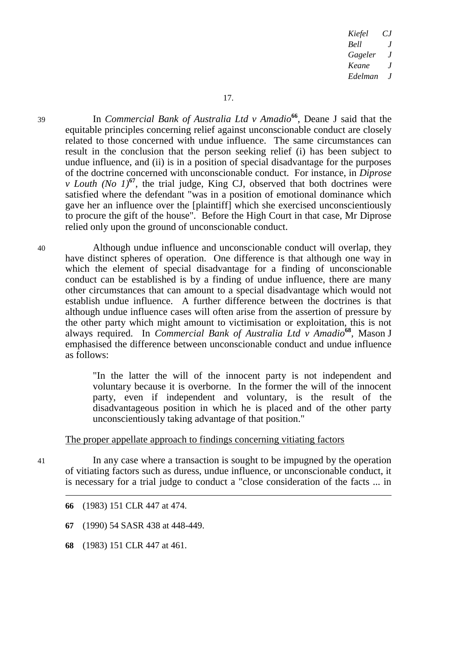<sup>39</sup> In *Commercial Bank of Australia Ltd v Amadio***<sup>66</sup>** , Deane J said that the equitable principles concerning relief against unconscionable conduct are closely related to those concerned with undue influence. The same circumstances can result in the conclusion that the person seeking relief (i) has been subject to undue influence, and (ii) is in a position of special disadvantage for the purposes of the doctrine concerned with unconscionable conduct. For instance, in *Diprose v Louth (No 1)*<sup>67</sup>, the trial judge, King CJ, observed that both doctrines were satisfied where the defendant "was in a position of emotional dominance which gave her an influence over the [plaintiff] which she exercised unconscientiously to procure the gift of the house". Before the High Court in that case, Mr Diprose relied only upon the ground of unconscionable conduct.

40 Although undue influence and unconscionable conduct will overlap, they have distinct spheres of operation. One difference is that although one way in which the element of special disadvantage for a finding of unconscionable conduct can be established is by a finding of undue influence, there are many other circumstances that can amount to a special disadvantage which would not establish undue influence. A further difference between the doctrines is that although undue influence cases will often arise from the assertion of pressure by the other party which might amount to victimisation or exploitation, this is not always required. In *Commercial Bank of Australia Ltd v Amadio***<sup>68</sup>** , Mason J emphasised the difference between unconscionable conduct and undue influence as follows:

> "In the latter the will of the innocent party is not independent and voluntary because it is overborne. In the former the will of the innocent party, even if independent and voluntary, is the result of the disadvantageous position in which he is placed and of the other party unconscientiously taking advantage of that position."

#### The proper appellate approach to findings concerning vitiating factors

-

41 In any case where a transaction is sought to be impugned by the operation of vitiating factors such as duress, undue influence, or unconscionable conduct, it is necessary for a trial judge to conduct a "close consideration of the facts ... in

- **66** (1983) 151 CLR 447 at 474.
- **67** (1990) 54 SASR 438 at 448-449.
- **68** (1983) 151 CLR 447 at 461.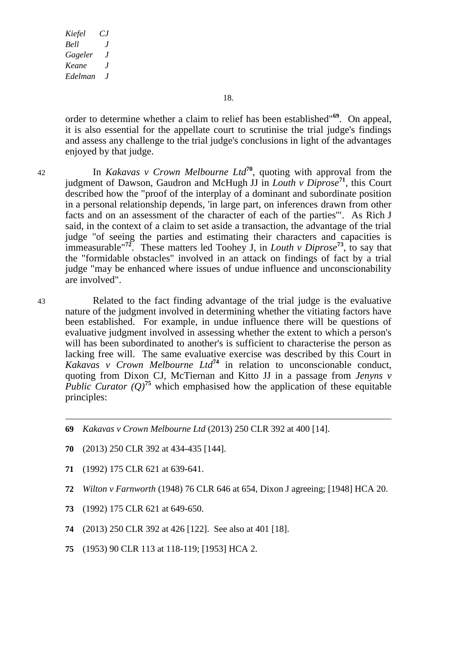18.

order to determine whether a claim to relief has been established"**<sup>69</sup>**. On appeal, it is also essential for the appellate court to scrutinise the trial judge's findings and assess any challenge to the trial judge's conclusions in light of the advantages enjoyed by that judge.

-

<sup>42</sup> In *Kakavas v Crown Melbourne Ltd***<sup>70</sup>**, quoting with approval from the judgment of Dawson, Gaudron and McHugh JJ in *Louth v Diprose***<sup>71</sup>** , this Court described how the "proof of the interplay of a dominant and subordinate position in a personal relationship depends, 'in large part, on inferences drawn from other facts and on an assessment of the character of each of the parties'". As Rich J said, in the context of a claim to set aside a transaction, the advantage of the trial judge "of seeing the parties and estimating their characters and capacities is immeasurable"**<sup>72</sup>**. These matters led Toohey J, in *Louth v Diprose***<sup>73</sup>**, to say that the "formidable obstacles" involved in an attack on findings of fact by a trial judge "may be enhanced where issues of undue influence and unconscionability are involved".

43 Related to the fact finding advantage of the trial judge is the evaluative nature of the judgment involved in determining whether the vitiating factors have been established. For example, in undue influence there will be questions of evaluative judgment involved in assessing whether the extent to which a person's will has been subordinated to another's is sufficient to characterise the person as lacking free will. The same evaluative exercise was described by this Court in *Kakavas v Crown Melbourne Ltd***<sup>74</sup>** in relation to unconscionable conduct, quoting from Dixon CJ, McTiernan and Kitto JJ in a passage from *Jenyns v Public Curator* ( $O$ <sup>75</sup> which emphasised how the application of these equitable principles:

- **69** *Kakavas v Crown Melbourne Ltd* (2013) 250 CLR 392 at 400 [14].
- **70** (2013) 250 CLR 392 at 434-435 [144].
- **71** (1992) 175 CLR 621 at 639-641.
- **72** *Wilton v Farnworth* (1948) 76 CLR 646 at 654, Dixon J agreeing; [1948] HCA 20.
- **73** (1992) 175 CLR 621 at 649-650.
- **74** (2013) 250 CLR 392 at 426 [122]. See also at 401 [18].
- **75** (1953) 90 CLR 113 at 118-119; [1953] HCA 2.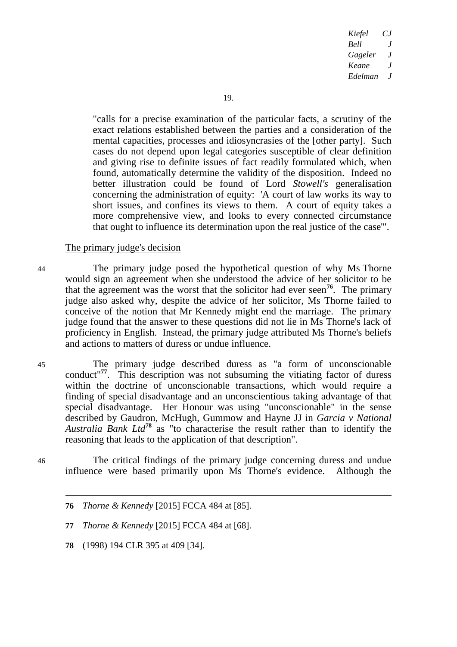"calls for a precise examination of the particular facts, a scrutiny of the exact relations established between the parties and a consideration of the mental capacities, processes and idiosyncrasies of the [other party]. Such cases do not depend upon legal categories susceptible of clear definition and giving rise to definite issues of fact readily formulated which, when found, automatically determine the validity of the disposition. Indeed no better illustration could be found of Lord *Stowell's* generalisation concerning the administration of equity: 'A court of law works its way to short issues, and confines its views to them. A court of equity takes a more comprehensive view, and looks to every connected circumstance that ought to influence its determination upon the real justice of the case'".

#### The primary judge's decision

44 The primary judge posed the hypothetical question of why Ms Thorne would sign an agreement when she understood the advice of her solicitor to be that the agreement was the worst that the solicitor had ever seen**<sup>76</sup>**. The primary judge also asked why, despite the advice of her solicitor, Ms Thorne failed to conceive of the notion that Mr Kennedy might end the marriage. The primary judge found that the answer to these questions did not lie in Ms Thorne's lack of proficiency in English. Instead, the primary judge attributed Ms Thorne's beliefs and actions to matters of duress or undue influence.

45 The primary judge described duress as "a form of unconscionable conduct"**<sup>77</sup>**. This description was not subsuming the vitiating factor of duress within the doctrine of unconscionable transactions, which would require a finding of special disadvantage and an unconscientious taking advantage of that special disadvantage. Her Honour was using "unconscionable" in the sense described by Gaudron, McHugh, Gummow and Hayne JJ in *Garcia v National Australia Bank Ltd***<sup>78</sup>** as "to characterise the result rather than to identify the reasoning that leads to the application of that description".

46 The critical findings of the primary judge concerning duress and undue influence were based primarily upon Ms Thorne's evidence. Although the

**78** (1998) 194 CLR 395 at 409 [34].

-

**<sup>76</sup>** *Thorne & Kennedy* [2015] FCCA 484 at [85].

**<sup>77</sup>** *Thorne & Kennedy* [2015] FCCA 484 at [68].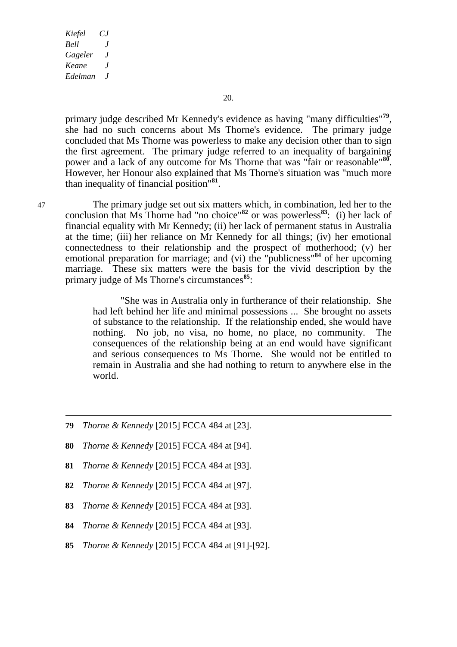-

20.

primary judge described Mr Kennedy's evidence as having "many difficulties"**<sup>79</sup>** , she had no such concerns about Ms Thorne's evidence. The primary judge concluded that Ms Thorne was powerless to make any decision other than to sign the first agreement. The primary judge referred to an inequality of bargaining power and a lack of any outcome for Ms Thorne that was "fair or reasonable"**<sup>80</sup>** . However, her Honour also explained that Ms Thorne's situation was "much more than inequality of financial position"**<sup>81</sup>** .

47 The primary judge set out six matters which, in combination, led her to the conclusion that Ms Thorne had "no choice"**<sup>82</sup>** or was powerless**<sup>83</sup>**: (i) her lack of financial equality with Mr Kennedy; (ii) her lack of permanent status in Australia at the time; (iii) her reliance on Mr Kennedy for all things; (iv) her emotional connectedness to their relationship and the prospect of motherhood; (v) her emotional preparation for marriage; and (vi) the "publicness"**<sup>84</sup>** of her upcoming marriage. These six matters were the basis for the vivid description by the primary judge of Ms Thorne's circumstances**<sup>85</sup>**:

> "She was in Australia only in furtherance of their relationship. She had left behind her life and minimal possessions ... She brought no assets of substance to the relationship. If the relationship ended, she would have nothing. No job, no visa, no home, no place, no community. The consequences of the relationship being at an end would have significant and serious consequences to Ms Thorne. She would not be entitled to remain in Australia and she had nothing to return to anywhere else in the world.

- **79** *Thorne & Kennedy* [2015] FCCA 484 at [23].
- **80** *Thorne & Kennedy* [2015] FCCA 484 at [94].
- **81** *Thorne & Kennedy* [2015] FCCA 484 at [93].
- **82** *Thorne & Kennedy* [2015] FCCA 484 at [97].
- **83** *Thorne & Kennedy* [2015] FCCA 484 at [93].
- **84** *Thorne & Kennedy* [2015] FCCA 484 at [93].
- **85** *Thorne & Kennedy* [2015] FCCA 484 at [91]-[92].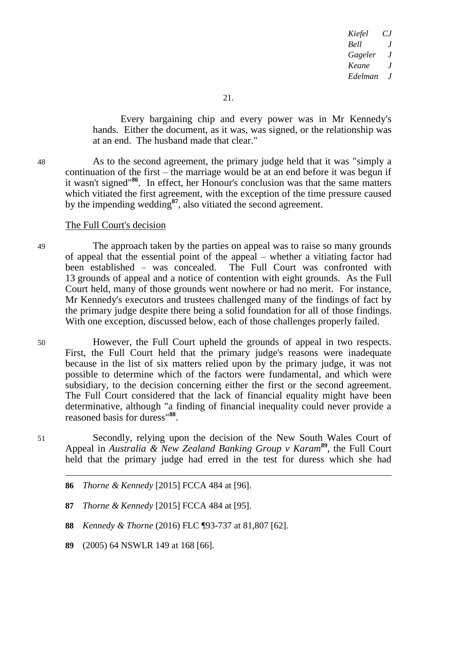Every bargaining chip and every power was in Mr Kennedy's hands. Either the document, as it was, was signed, or the relationship was at an end. The husband made that clear."

48 As to the second agreement, the primary judge held that it was "simply a continuation of the first – the marriage would be at an end before it was begun if it wasn't signed"**<sup>86</sup>**. In effect, her Honour's conclusion was that the same matters which vitiated the first agreement, with the exception of the time pressure caused by the impending wedding**<sup>87</sup>**, also vitiated the second agreement.

#### The Full Court's decision

49 The approach taken by the parties on appeal was to raise so many grounds of appeal that the essential point of the appeal – whether a vitiating factor had been established – was concealed. 13 grounds of appeal and a notice of contention with eight grounds. As the Full Court held, many of those grounds went nowhere or had no merit. For instance, Mr Kennedy's executors and trustees challenged many of the findings of fact by the primary judge despite there being a solid foundation for all of those findings. With one exception, discussed below, each of those challenges properly failed.

50 However, the Full Court upheld the grounds of appeal in two respects. First, the Full Court held that the primary judge's reasons were inadequate because in the list of six matters relied upon by the primary judge, it was not possible to determine which of the factors were fundamental, and which were subsidiary, to the decision concerning either the first or the second agreement. The Full Court considered that the lack of financial equality might have been determinative, although "a finding of financial inequality could never provide a reasoned basis for duress"**<sup>88</sup>** .

51 Secondly, relying upon the decision of the New South Wales Court of Appeal in *Australia & New Zealand Banking Group v Karam***<sup>89</sup>** , the Full Court held that the primary judge had erred in the test for duress which she had

- **88** *Kennedy & Thorne* (2016) FLC ¶93-737 at 81,807 [62].
- **89** (2005) 64 NSWLR 149 at 168 [66].

-

**<sup>86</sup>** *Thorne & Kennedy* [2015] FCCA 484 at [96].

**<sup>87</sup>** *Thorne & Kennedy* [2015] FCCA 484 at [95].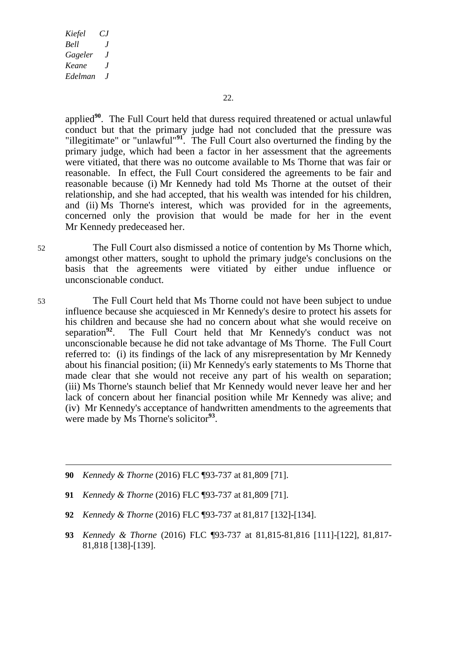$\overline{a}$ 

applied**<sup>90</sup>**. The Full Court held that duress required threatened or actual unlawful conduct but that the primary judge had not concluded that the pressure was "illegitimate" or "unlawful"**<sup>91</sup>** . The Full Court also overturned the finding by the primary judge, which had been a factor in her assessment that the agreements were vitiated, that there was no outcome available to Ms Thorne that was fair or reasonable. In effect, the Full Court considered the agreements to be fair and reasonable because (i) Mr Kennedy had told Ms Thorne at the outset of their relationship, and she had accepted, that his wealth was intended for his children, and (ii) Ms Thorne's interest, which was provided for in the agreements, concerned only the provision that would be made for her in the event Mr Kennedy predeceased her.

52 The Full Court also dismissed a notice of contention by Ms Thorne which, amongst other matters, sought to uphold the primary judge's conclusions on the basis that the agreements were vitiated by either undue influence or unconscionable conduct.

53 The Full Court held that Ms Thorne could not have been subject to undue influence because she acquiesced in Mr Kennedy's desire to protect his assets for his children and because she had no concern about what she would receive on separation<sup>92</sup>. The Full Court held that Mr Kennedy's conduct was not The Full Court held that Mr Kennedy's conduct was not unconscionable because he did not take advantage of Ms Thorne. The Full Court referred to: (i) its findings of the lack of any misrepresentation by Mr Kennedy about his financial position; (ii) Mr Kennedy's early statements to Ms Thorne that made clear that she would not receive any part of his wealth on separation; (iii) Ms Thorne's staunch belief that Mr Kennedy would never leave her and her lack of concern about her financial position while Mr Kennedy was alive; and (iv) Mr Kennedy's acceptance of handwritten amendments to the agreements that were made by Ms Thorne's solicitor<sup>93</sup>.

- **90** *Kennedy & Thorne* (2016) FLC ¶93-737 at 81,809 [71].
- **91** *Kennedy & Thorne* (2016) FLC ¶93-737 at 81,809 [71].
- **92** *Kennedy & Thorne* (2016) FLC ¶93-737 at 81,817 [132]-[134].
- **93** *Kennedy & Thorne* (2016) FLC ¶93-737 at 81,815-81,816 [111]-[122], 81,817- 81,818 [138]-[139].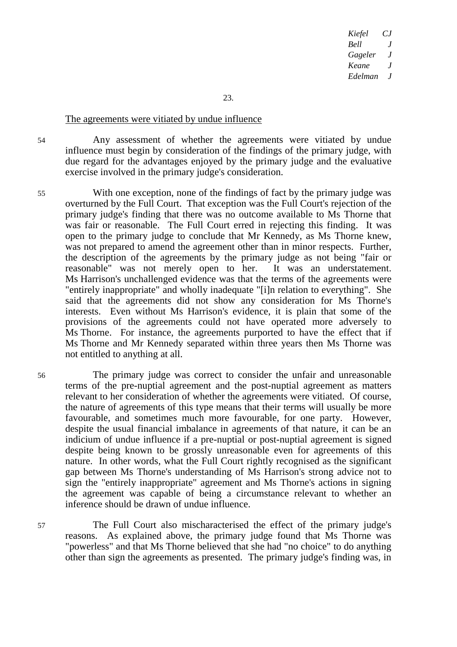23.

#### The agreements were vitiated by undue influence

54 Any assessment of whether the agreements were vitiated by undue influence must begin by consideration of the findings of the primary judge, with due regard for the advantages enjoyed by the primary judge and the evaluative exercise involved in the primary judge's consideration.

55 With one exception, none of the findings of fact by the primary judge was overturned by the Full Court. That exception was the Full Court's rejection of the primary judge's finding that there was no outcome available to Ms Thorne that was fair or reasonable. The Full Court erred in rejecting this finding. It was open to the primary judge to conclude that Mr Kennedy, as Ms Thorne knew, was not prepared to amend the agreement other than in minor respects. Further, the description of the agreements by the primary judge as not being "fair or reasonable" was not merely open to her. It was an understatement. Ms Harrison's unchallenged evidence was that the terms of the agreements were "entirely inappropriate" and wholly inadequate "[i]n relation to everything". She said that the agreements did not show any consideration for Ms Thorne's interests. Even without Ms Harrison's evidence, it is plain that some of the provisions of the agreements could not have operated more adversely to Ms Thorne. For instance, the agreements purported to have the effect that if Ms Thorne and Mr Kennedy separated within three years then Ms Thorne was not entitled to anything at all.

56 The primary judge was correct to consider the unfair and unreasonable terms of the pre-nuptial agreement and the post-nuptial agreement as matters relevant to her consideration of whether the agreements were vitiated. Of course, the nature of agreements of this type means that their terms will usually be more favourable, and sometimes much more favourable, for one party. However, despite the usual financial imbalance in agreements of that nature, it can be an indicium of undue influence if a pre-nuptial or post-nuptial agreement is signed despite being known to be grossly unreasonable even for agreements of this nature. In other words, what the Full Court rightly recognised as the significant gap between Ms Thorne's understanding of Ms Harrison's strong advice not to sign the "entirely inappropriate" agreement and Ms Thorne's actions in signing the agreement was capable of being a circumstance relevant to whether an inference should be drawn of undue influence.

57 The Full Court also mischaracterised the effect of the primary judge's reasons. As explained above, the primary judge found that Ms Thorne was "powerless" and that Ms Thorne believed that she had "no choice" to do anything other than sign the agreements as presented. The primary judge's finding was, in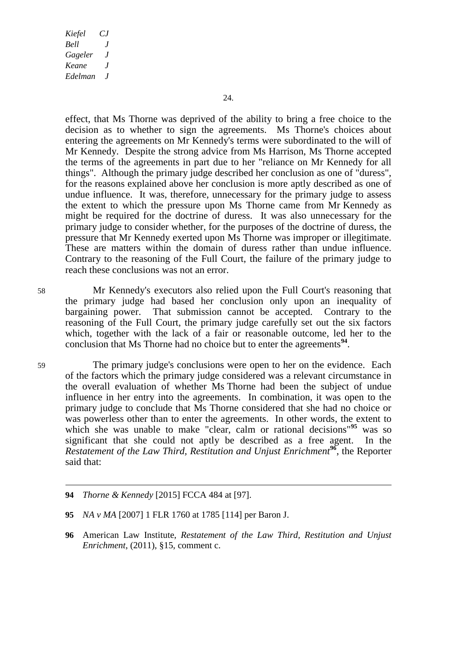effect, that Ms Thorne was deprived of the ability to bring a free choice to the decision as to whether to sign the agreements. Ms Thorne's choices about entering the agreements on Mr Kennedy's terms were subordinated to the will of Mr Kennedy. Despite the strong advice from Ms Harrison, Ms Thorne accepted the terms of the agreements in part due to her "reliance on Mr Kennedy for all things". Although the primary judge described her conclusion as one of "duress", for the reasons explained above her conclusion is more aptly described as one of undue influence. It was, therefore, unnecessary for the primary judge to assess the extent to which the pressure upon Ms Thorne came from Mr Kennedy as might be required for the doctrine of duress. It was also unnecessary for the primary judge to consider whether, for the purposes of the doctrine of duress, the pressure that Mr Kennedy exerted upon Ms Thorne was improper or illegitimate. These are matters within the domain of duress rather than undue influence. Contrary to the reasoning of the Full Court, the failure of the primary judge to reach these conclusions was not an error.

58 Mr Kennedy's executors also relied upon the Full Court's reasoning that the primary judge had based her conclusion only upon an inequality of bargaining power. That submission cannot be accepted. Contrary to the reasoning of the Full Court, the primary judge carefully set out the six factors which, together with the lack of a fair or reasonable outcome, led her to the conclusion that Ms Thorne had no choice but to enter the agreements<sup>94</sup>.

59 The primary judge's conclusions were open to her on the evidence. Each of the factors which the primary judge considered was a relevant circumstance in the overall evaluation of whether Ms Thorne had been the subject of undue influence in her entry into the agreements. In combination, it was open to the primary judge to conclude that Ms Thorne considered that she had no choice or was powerless other than to enter the agreements. In other words, the extent to which she was unable to make "clear, calm or rational decisions"**<sup>95</sup>** was so significant that she could not aptly be described as a free agent. In the *Restatement of the Law Third, Restitution and Unjust Enrichment***<sup>96</sup>**, the Reporter said that:

- **94** *Thorne & Kennedy* [2015] FCCA 484 at [97].
- **95** *NA v MA* [2007] 1 FLR 1760 at 1785 [114] per Baron J.
- **96** American Law Institute, *Restatement of the Law Third, Restitution and Unjust Enrichment*, (2011), §15, comment c.

-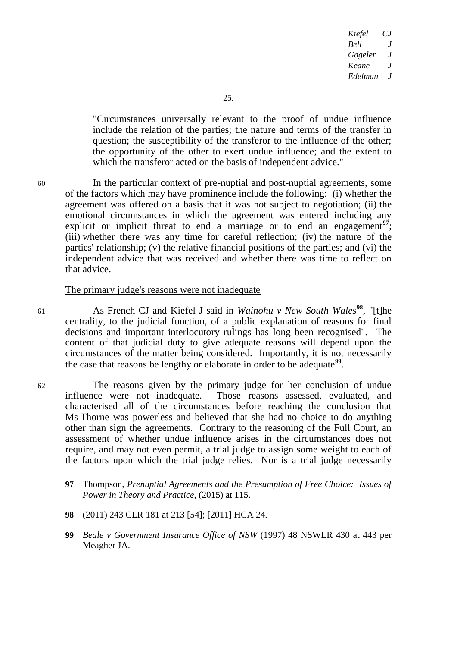"Circumstances universally relevant to the proof of undue influence include the relation of the parties; the nature and terms of the transfer in question; the susceptibility of the transferor to the influence of the other; the opportunity of the other to exert undue influence; and the extent to which the transferor acted on the basis of independent advice."

60 In the particular context of pre-nuptial and post-nuptial agreements, some of the factors which may have prominence include the following: (i) whether the agreement was offered on a basis that it was not subject to negotiation; (ii) the emotional circumstances in which the agreement was entered including any explicit or implicit threat to end a marriage or to end an engagement<sup>97</sup>. (iii) whether there was any time for careful reflection; (iv) the nature of the parties' relationship; (v) the relative financial positions of the parties; and (vi) the independent advice that was received and whether there was time to reflect on that advice.

#### The primary judge's reasons were not inadequate

<sup>61</sup> As French CJ and Kiefel J said in *Wainohu v New South Wales***<sup>98</sup>**, "[t]he centrality, to the judicial function, of a public explanation of reasons for final decisions and important interlocutory rulings has long been recognised". The content of that judicial duty to give adequate reasons will depend upon the circumstances of the matter being considered. Importantly, it is not necessarily the case that reasons be lengthy or elaborate in order to be adequate**<sup>99</sup>** .

62 The reasons given by the primary judge for her conclusion of undue influence were not inadequate. Those reasons assessed, evaluated, and characterised all of the circumstances before reaching the conclusion that Ms Thorne was powerless and believed that she had no choice to do anything other than sign the agreements. Contrary to the reasoning of the Full Court, an assessment of whether undue influence arises in the circumstances does not require, and may not even permit, a trial judge to assign some weight to each of the factors upon which the trial judge relies. Nor is a trial judge necessarily

- **98** (2011) 243 CLR 181 at 213 [54]; [2011] HCA 24.
- **99** *Beale v Government Insurance Office of NSW* (1997) 48 NSWLR 430 at 443 per Meagher JA.

**<sup>97</sup>** Thompson, *Prenuptial Agreements and the Presumption of Free Choice: Issues of Power in Theory and Practice*, (2015) at 115.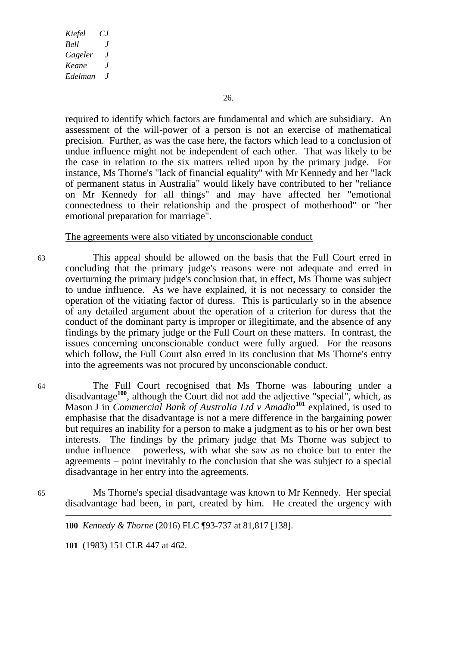required to identify which factors are fundamental and which are subsidiary. An assessment of the will-power of a person is not an exercise of mathematical precision. Further, as was the case here, the factors which lead to a conclusion of undue influence might not be independent of each other. That was likely to be the case in relation to the six matters relied upon by the primary judge. For instance, Ms Thorne's "lack of financial equality" with Mr Kennedy and her "lack of permanent status in Australia" would likely have contributed to her "reliance on Mr Kennedy for all things" and may have affected her "emotional connectedness to their relationship and the prospect of motherhood" or "her emotional preparation for marriage".

#### The agreements were also vitiated by unconscionable conduct

- 63 This appeal should be allowed on the basis that the Full Court erred in concluding that the primary judge's reasons were not adequate and erred in overturning the primary judge's conclusion that, in effect, Ms Thorne was subject to undue influence. As we have explained, it is not necessary to consider the operation of the vitiating factor of duress. This is particularly so in the absence of any detailed argument about the operation of a criterion for duress that the conduct of the dominant party is improper or illegitimate, and the absence of any findings by the primary judge or the Full Court on these matters. In contrast, the issues concerning unconscionable conduct were fully argued. For the reasons which follow, the Full Court also erred in its conclusion that Ms Thorne's entry into the agreements was not procured by unconscionable conduct.
- 

 $\overline{a}$ 

64 The Full Court recognised that Ms Thorne was labouring under a disadvantage**<sup>100</sup>**, although the Court did not add the adjective "special", which, as Mason J in *Commercial Bank of Australia Ltd v Amadio***<sup>101</sup>** explained, is used to emphasise that the disadvantage is not a mere difference in the bargaining power but requires an inability for a person to make a judgment as to his or her own best interests. The findings by the primary judge that Ms Thorne was subject to undue influence – powerless, with what she saw as no choice but to enter the agreements – point inevitably to the conclusion that she was subject to a special disadvantage in her entry into the agreements.

65 Ms Thorne's special disadvantage was known to Mr Kennedy. Her special disadvantage had been, in part, created by him. He created the urgency with

**100** *Kennedy & Thorne* (2016) FLC ¶93-737 at 81,817 [138].

**101** (1983) 151 CLR 447 at 462.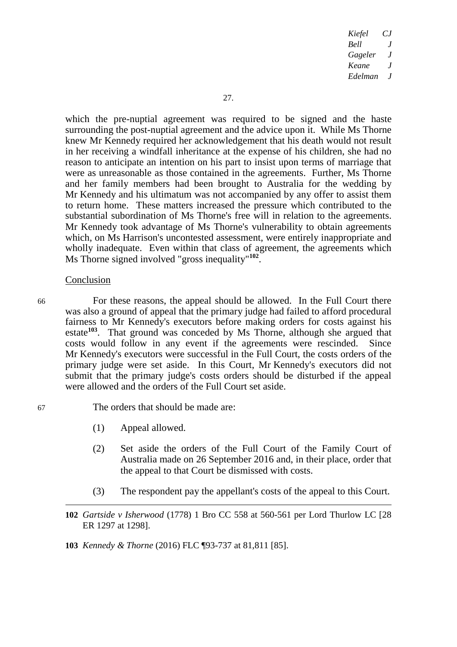which the pre-nuptial agreement was required to be signed and the haste surrounding the post-nuptial agreement and the advice upon it. While Ms Thorne knew Mr Kennedy required her acknowledgement that his death would not result in her receiving a windfall inheritance at the expense of his children, she had no reason to anticipate an intention on his part to insist upon terms of marriage that were as unreasonable as those contained in the agreements. Further, Ms Thorne and her family members had been brought to Australia for the wedding by Mr Kennedy and his ultimatum was not accompanied by any offer to assist them to return home. These matters increased the pressure which contributed to the substantial subordination of Ms Thorne's free will in relation to the agreements. Mr Kennedy took advantage of Ms Thorne's vulnerability to obtain agreements which, on Ms Harrison's uncontested assessment, were entirely inappropriate and wholly inadequate. Even within that class of agreement, the agreements which Ms Thorne signed involved "gross inequality"**<sup>102</sup>** .

#### Conclusion

-

66 For these reasons, the appeal should be allowed. In the Full Court there was also a ground of appeal that the primary judge had failed to afford procedural fairness to Mr Kennedy's executors before making orders for costs against his estate**<sup>103</sup>**. That ground was conceded by Ms Thorne, although she argued that costs would follow in any event if the agreements were rescinded. Since Mr Kennedy's executors were successful in the Full Court, the costs orders of the primary judge were set aside. In this Court, Mr Kennedy's executors did not submit that the primary judge's costs orders should be disturbed if the appeal were allowed and the orders of the Full Court set aside.

# 67 The orders that should be made are:

- (1) Appeal allowed.
- (2) Set aside the orders of the Full Court of the Family Court of Australia made on 26 September 2016 and, in their place, order that the appeal to that Court be dismissed with costs.
- (3) The respondent pay the appellant's costs of the appeal to this Court.
- **102** *Gartside v Isherwood* (1778) 1 Bro CC 558 at 560-561 per Lord Thurlow LC [28 ER 1297 at 1298].
- **103** *Kennedy & Thorne* (2016) FLC ¶93-737 at 81,811 [85].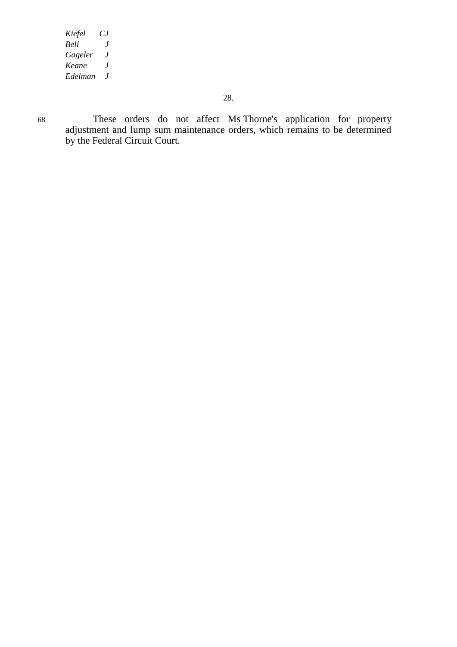68 These orders do not affect Ms Thorne's application for property adjustment and lump sum maintenance orders, which remains to be determined by the Federal Circuit Court.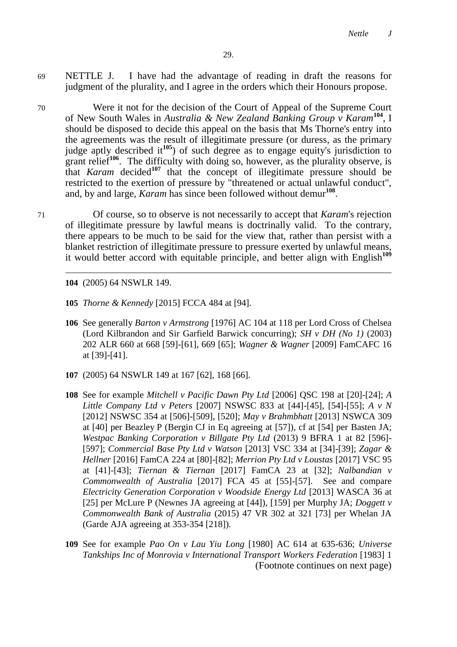- 69 NETTLE J. I have had the advantage of reading in draft the reasons for judgment of the plurality, and I agree in the orders which their Honours propose.
- 70 Were it not for the decision of the Court of Appeal of the Supreme Court of New South Wales in *Australia & New Zealand Banking Group v Karam***<sup>104</sup>** , I should be disposed to decide this appeal on the basis that Ms Thorne's entry into the agreements was the result of illegitimate pressure (or duress, as the primary judge aptly described it**<sup>105</sup>**) of such degree as to engage equity's jurisdiction to grant relief<sup>106</sup>. The difficulty with doing so, however, as the plurality observe, is that *Karam* decided**<sup>107</sup>** that the concept of illegitimate pressure should be restricted to the exertion of pressure by "threatened or actual unlawful conduct", and, by and large, *Karam* has since been followed without demur<sup>108</sup>.
- 71 Of course, so to observe is not necessarily to accept that *Karam*'s rejection of illegitimate pressure by lawful means is doctrinally valid. To the contrary, there appears to be much to be said for the view that, rather than persist with a blanket restriction of illegitimate pressure to pressure exerted by unlawful means, it would better accord with equitable principle, and better align with English**<sup>109</sup>**

**104** (2005) 64 NSWLR 149.

- **105** *Thorne & Kennedy* [2015] FCCA 484 at [94].
- **106** See generally *Barton v Armstrong* [1976] AC 104 at 118 per Lord Cross of Chelsea (Lord Kilbrandon and Sir Garfield Barwick concurring); *SH v DH (No 1)* (2003) 202 ALR 660 at 668 [59]-[61], 669 [65]; *Wagner & Wagner* [2009] FamCAFC 16 at [39]-[41].
- **107** (2005) 64 NSWLR 149 at 167 [62], 168 [66].
- **108** See for example *Mitchell v Pacific Dawn Pty Ltd* [2006] QSC 198 at [20]-[24]; *A Little Company Ltd v Peters* [2007] NSWSC 833 at [44]-[45], [54]-[55]; *A v N*  [2012] NSWSC 354 at [506]-[509], [520]; *May v Brahmbhatt* [2013] NSWCA 309 at [40] per Beazley P (Bergin CJ in Eq agreeing at [57]), cf at [54] per Basten JA; *Westpac Banking Corporation v Billgate Pty Ltd* (2013) 9 BFRA 1 at 82 [596]- [597]; *Commercial Base Pty Ltd v Watson* [2013] VSC 334 at [34]-[39]; *Zagar & Hellner* [2016] FamCA 224 at [80]-[82]; *Merrion Pty Ltd v Loustas* [2017] VSC 95 at [41]-[43]; *Tiernan & Tiernan* [2017] FamCA 23 at [32]; *Nalbandian v Commonwealth of Australia* [2017] FCA 45 at [55]-[57]. See and compare *Electricity Generation Corporation v Woodside Energy Ltd* [2013] WASCA 36 at [25] per McLure P (Newnes JA agreeing at [44]), [159] per Murphy JA; *Doggett v Commonwealth Bank of Australia* (2015) 47 VR 302 at 321 [73] per Whelan JA (Garde AJA agreeing at 353-354 [218]).
- **109** See for example *Pao On v Lau Yiu Long* [1980] AC 614 at 635-636; *Universe Tankships Inc of Monrovia v International Transport Workers Federation* [1983] 1 (Footnote continues on next page)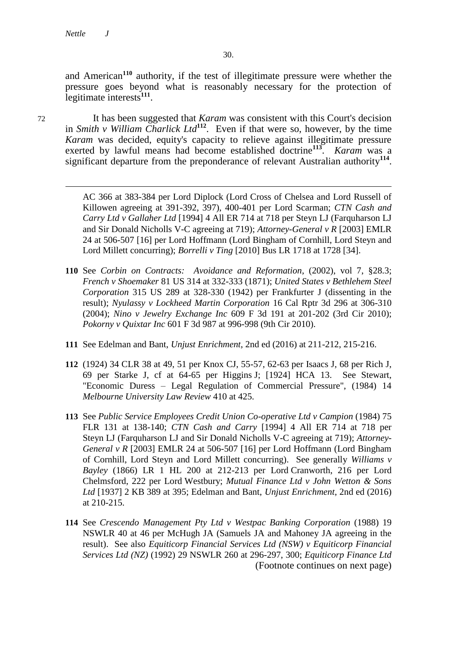and American**<sup>110</sup>** authority, if the test of illegitimate pressure were whether the pressure goes beyond what is reasonably necessary for the protection of legitimate interests**<sup>111</sup>** .

 $\overline{a}$ 

72 It has been suggested that *Karam* was consistent with this Court's decision in *Smith v William Charlick Ltd***<sup>112</sup>**. Even if that were so, however, by the time *Karam* was decided, equity's capacity to relieve against illegitimate pressure exerted by lawful means had become established doctrine**<sup>113</sup>** . *Karam* was a significant departure from the preponderance of relevant Australian authority**<sup>114</sup>** .

> AC 366 at 383-384 per Lord Diplock (Lord Cross of Chelsea and Lord Russell of Killowen agreeing at 391-392, 397), 400-401 per Lord Scarman; *CTN Cash and Carry Ltd v Gallaher Ltd* [1994] 4 All ER 714 at 718 per Steyn LJ (Farquharson LJ and Sir Donald Nicholls V-C agreeing at 719); *Attorney-General v R* [2003] EMLR 24 at 506-507 [16] per Lord Hoffmann (Lord Bingham of Cornhill, Lord Steyn and Lord Millett concurring); *Borrelli v Ting* [2010] Bus LR 1718 at 1728 [34].

- **110** See *Corbin on Contracts: Avoidance and Reformation*, (2002), vol 7, §28.3; *French v Shoemaker* 81 US 314 at 332-333 (1871); *United States v Bethlehem Steel Corporation* 315 US 289 at 328-330 (1942) per Frankfurter J (dissenting in the result); *Nyulassy v Lockheed Martin Corporation* 16 Cal Rptr 3d 296 at 306-310 (2004); *Nino v Jewelry Exchange Inc* 609 F 3d 191 at 201-202 (3rd Cir 2010); *Pokorny v Quixtar Inc* 601 F 3d 987 at 996-998 (9th Cir 2010).
- **111** See Edelman and Bant, *Unjust Enrichment*, 2nd ed (2016) at 211-212, 215-216.
- **112** (1924) 34 CLR 38 at 49, 51 per Knox CJ, 55-57, 62-63 per Isaacs J, 68 per Rich J, 69 per Starke J, cf at 64-65 per Higgins J; [1924] HCA 13. See Stewart, "Economic Duress – Legal Regulation of Commercial Pressure", (1984) 14 *Melbourne University Law Review* 410 at 425.
- **113** See *Public Service Employees Credit Union Co-operative Ltd v Campion* (1984) 75 FLR 131 at 138-140; *CTN Cash and Carry* [1994] 4 All ER 714 at 718 per Steyn LJ (Farquharson LJ and Sir Donald Nicholls V-C agreeing at 719); *Attorney-General v R* [2003] EMLR 24 at 506-507 [16] per Lord Hoffmann (Lord Bingham of Cornhill, Lord Steyn and Lord Millett concurring). See generally *Williams v Bayley* (1866) LR 1 HL 200 at 212-213 per Lord Cranworth, 216 per Lord Chelmsford, 222 per Lord Westbury; *Mutual Finance Ltd v John Wetton & Sons Ltd* [1937] 2 KB 389 at 395; Edelman and Bant, *Unjust Enrichment*, 2nd ed (2016) at 210-215.
- **114** See *Crescendo Management Pty Ltd v Westpac Banking Corporation* (1988) 19 NSWLR 40 at 46 per McHugh JA (Samuels JA and Mahoney JA agreeing in the result). See also *Equiticorp Financial Services Ltd (NSW) v Equiticorp Financial Services Ltd (NZ)* (1992) 29 NSWLR 260 at 296-297, 300; *Equiticorp Finance Ltd*  (Footnote continues on next page)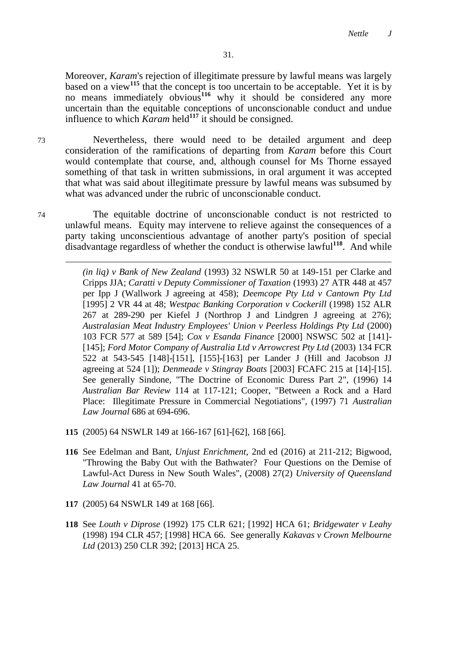Moreover, *Karam*'s rejection of illegitimate pressure by lawful means was largely based on a view**<sup>115</sup>** that the concept is too uncertain to be acceptable. Yet it is by no means immediately obvious<sup>116</sup> why it should be considered any more uncertain than the equitable conceptions of unconscionable conduct and undue influence to which  $K$ *detail*  $\frac{1}{4}$  is should be consigned.

73 Nevertheless, there would need to be detailed argument and deep consideration of the ramifications of departing from *Karam* before this Court would contemplate that course, and, although counsel for Ms Thorne essayed something of that task in written submissions, in oral argument it was accepted that what was said about illegitimate pressure by lawful means was subsumed by what was advanced under the rubric of unconscionable conduct.

74 The equitable doctrine of unconscionable conduct is not restricted to unlawful means. Equity may intervene to relieve against the consequences of a party taking unconscientious advantage of another party's position of special disadvantage regardless of whether the conduct is otherwise lawful**<sup>118</sup>**. And while

> *(in liq) v Bank of New Zealand* (1993) 32 NSWLR 50 at 149-151 per Clarke and Cripps JJA; *Caratti v Deputy Commissioner of Taxation* (1993) 27 ATR 448 at 457 per Ipp J (Wallwork J agreeing at 458); *Deemcope Pty Ltd v Cantown Pty Ltd* [1995] 2 VR 44 at 48; *Westpac Banking Corporation v Cockerill* (1998) 152 ALR 267 at 289-290 per Kiefel J (Northrop J and Lindgren J agreeing at 276); *Australasian Meat Industry Employees' Union v Peerless Holdings Pty Ltd* (2000) 103 FCR 577 at 589 [54]; *Cox v Esanda Finance* [2000] NSWSC 502 at [141]- [145]; *Ford Motor Company of Australia Ltd v Arrowcrest Pty Ltd* (2003) 134 FCR 522 at 543-545 [148]-[151], [155]-[163] per Lander J (Hill and Jacobson JJ agreeing at 524 [1]); *Denmeade v Stingray Boats* [2003] FCAFC 215 at [14]-[15]. See generally Sindone, "The Doctrine of Economic Duress Part 2", (1996) 14 *Australian Bar Review* 114 at 117-121; Cooper, "Between a Rock and a Hard Place: Illegitimate Pressure in Commercial Negotiations", (1997) 71 *Australian Law Journal* 686 at 694-696.

- **115** (2005) 64 NSWLR 149 at 166-167 [61]-[62], 168 [66].
- **116** See Edelman and Bant, *Unjust Enrichment*, 2nd ed (2016) at 211-212; Bigwood, "Throwing the Baby Out with the Bathwater? Four Questions on the Demise of Lawful-Act Duress in New South Wales", (2008) 27(2) *University of Queensland Law Journal* 41 at 65-70.
- **117** (2005) 64 NSWLR 149 at 168 [66].
- **118** See *Louth v Diprose* (1992) 175 CLR 621; [1992] HCA 61; *Bridgewater v Leahy* (1998) 194 CLR 457; [1998] HCA 66. See generally *Kakavas v Crown Melbourne Ltd* (2013) 250 CLR 392; [2013] HCA 25.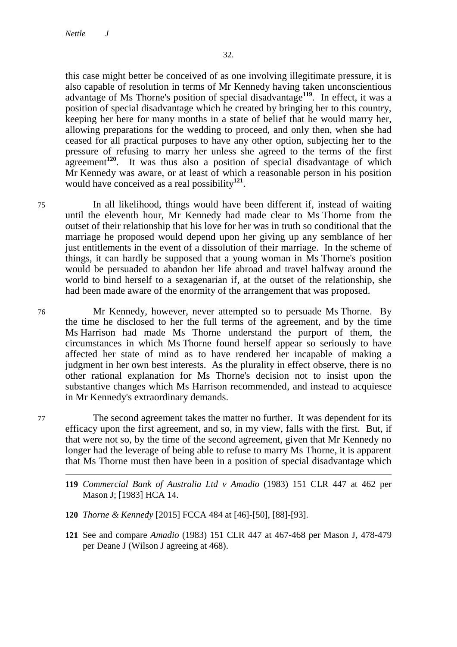this case might better be conceived of as one involving illegitimate pressure, it is also capable of resolution in terms of Mr Kennedy having taken unconscientious advantage of Ms Thorne's position of special disadvantage**<sup>119</sup>**. In effect, it was a position of special disadvantage which he created by bringing her to this country, keeping her here for many months in a state of belief that he would marry her, allowing preparations for the wedding to proceed, and only then, when she had ceased for all practical purposes to have any other option, subjecting her to the pressure of refusing to marry her unless she agreed to the terms of the first agreement<sup>120</sup>. It was thus also a position of special disadvantage of which Mr Kennedy was aware, or at least of which a reasonable person in his position would have conceived as a real possibility**<sup>121</sup>** .

75 In all likelihood, things would have been different if, instead of waiting until the eleventh hour, Mr Kennedy had made clear to Ms Thorne from the outset of their relationship that his love for her was in truth so conditional that the marriage he proposed would depend upon her giving up any semblance of her just entitlements in the event of a dissolution of their marriage. In the scheme of things, it can hardly be supposed that a young woman in Ms Thorne's position would be persuaded to abandon her life abroad and travel halfway around the world to bind herself to a sexagenarian if, at the outset of the relationship, she had been made aware of the enormity of the arrangement that was proposed.

76 Mr Kennedy, however, never attempted so to persuade Ms Thorne. By the time he disclosed to her the full terms of the agreement, and by the time Ms Harrison had made Ms Thorne understand the purport of them, the circumstances in which Ms Thorne found herself appear so seriously to have affected her state of mind as to have rendered her incapable of making a judgment in her own best interests. As the plurality in effect observe, there is no other rational explanation for Ms Thorne's decision not to insist upon the substantive changes which Ms Harrison recommended, and instead to acquiesce in Mr Kennedy's extraordinary demands.

77 The second agreement takes the matter no further. It was dependent for its efficacy upon the first agreement, and so, in my view, falls with the first. But, if that were not so, by the time of the second agreement, given that Mr Kennedy no longer had the leverage of being able to refuse to marry Ms Thorne, it is apparent that Ms Thorne must then have been in a position of special disadvantage which

- **120** *Thorne & Kennedy* [2015] FCCA 484 at [46]-[50], [88]-[93].
- **121** See and compare *Amadio* (1983) 151 CLR 447 at 467-468 per Mason J, 478-479 per Deane J (Wilson J agreeing at 468).

**<sup>119</sup>** *Commercial Bank of Australia Ltd v Amadio* (1983) 151 CLR 447 at 462 per Mason J; [1983] HCA 14.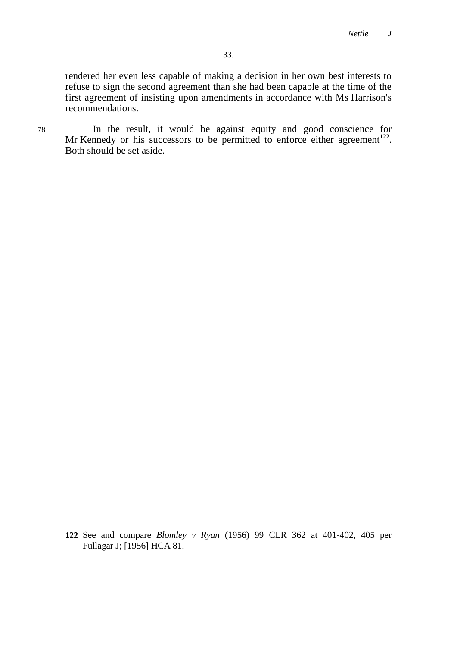rendered her even less capable of making a decision in her own best interests to refuse to sign the second agreement than she had been capable at the time of the first agreement of insisting upon amendments in accordance with Ms Harrison's recommendations.

78 In the result, it would be against equity and good conscience for Mr Kennedy or his successors to be permitted to enforce either agreement<sup>122</sup>. Both should be set aside.

**<sup>122</sup>** See and compare *Blomley v Ryan* (1956) 99 CLR 362 at 401-402, 405 per Fullagar J; [1956] HCA 81.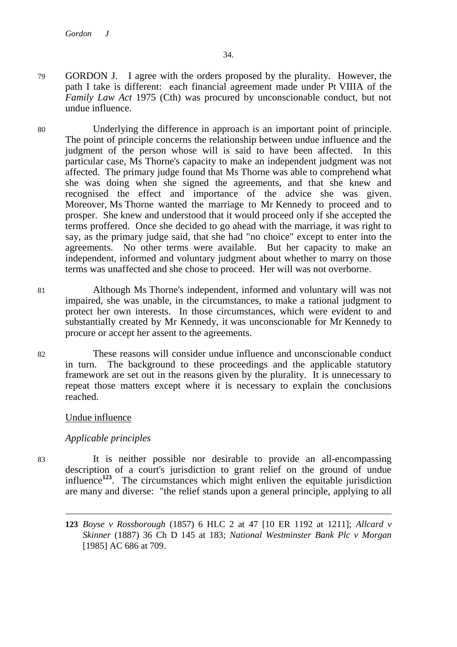- 79 GORDON J. I agree with the orders proposed by the plurality. However, the path I take is different: each financial agreement made under Pt VIIIA of the *Family Law Act* 1975 (Cth) was procured by unconscionable conduct, but not undue influence.
- 80 Underlying the difference in approach is an important point of principle. The point of principle concerns the relationship between undue influence and the judgment of the person whose will is said to have been affected. In this particular case, Ms Thorne's capacity to make an independent judgment was not affected. The primary judge found that Ms Thorne was able to comprehend what she was doing when she signed the agreements, and that she knew and recognised the effect and importance of the advice she was given. Moreover, Ms Thorne wanted the marriage to Mr Kennedy to proceed and to prosper. She knew and understood that it would proceed only if she accepted the terms proffered. Once she decided to go ahead with the marriage, it was right to say, as the primary judge said, that she had "no choice" except to enter into the agreements. No other terms were available. But her capacity to make an independent, informed and voluntary judgment about whether to marry on those terms was unaffected and she chose to proceed. Her will was not overborne.
- 81 Although Ms Thorne's independent, informed and voluntary will was not impaired, she was unable, in the circumstances, to make a rational judgment to protect her own interests. In those circumstances, which were evident to and substantially created by Mr Kennedy, it was unconscionable for Mr Kennedy to procure or accept her assent to the agreements.
- 82 These reasons will consider undue influence and unconscionable conduct in turn. The background to these proceedings and the applicable statutory framework are set out in the reasons given by the plurality. It is unnecessary to repeat those matters except where it is necessary to explain the conclusions reached.

# Undue influence

# *Applicable principles*

 $\overline{a}$ 

83 It is neither possible nor desirable to provide an all-encompassing description of a court's jurisdiction to grant relief on the ground of undue influence**<sup>123</sup>**. The circumstances which might enliven the equitable jurisdiction are many and diverse: "the relief stands upon a general principle, applying to all

**<sup>123</sup>** *Boyse v Rossborough* (1857) 6 HLC 2 at 47 [10 ER 1192 at 1211]; *Allcard v Skinner* (1887) 36 Ch D 145 at 183; *National Westminster Bank Plc v Morgan* [1985] AC 686 at 709.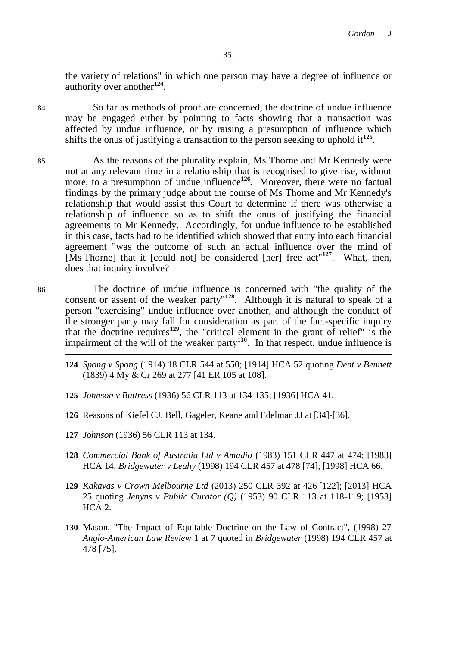the variety of relations" in which one person may have a degree of influence or authority over another**<sup>124</sup>** .

 $\overline{a}$ 

84 So far as methods of proof are concerned, the doctrine of undue influence may be engaged either by pointing to facts showing that a transaction was affected by undue influence, or by raising a presumption of influence which shifts the onus of justifying a transaction to the person seeking to uphold it<sup>125</sup>.

- 85 As the reasons of the plurality explain, Ms Thorne and Mr Kennedy were not at any relevant time in a relationship that is recognised to give rise, without more, to a presumption of undue influence<sup>126</sup>. Moreover, there were no factual findings by the primary judge about the course of Ms Thorne and Mr Kennedy's relationship that would assist this Court to determine if there was otherwise a relationship of influence so as to shift the onus of justifying the financial agreements to Mr Kennedy. Accordingly, for undue influence to be established in this case, facts had to be identified which showed that entry into each financial agreement "was the outcome of such an actual influence over the mind of [Ms Thorne] that it [could not] be considered [her] free  $\arctan 127$ . What, then, does that inquiry involve?
- 86 The doctrine of undue influence is concerned with "the quality of the consent or assent of the weaker party<sup>"128</sup>. Although it is natural to speak of a person "exercising" undue influence over another, and although the conduct of the stronger party may fall for consideration as part of the fact-specific inquiry that the doctrine requires**<sup>129</sup>**, the "critical element in the grant of relief" is the impairment of the will of the weaker party**<sup>130</sup>**. In that respect, undue influence is
	- **124** *Spong v Spong* (1914) 18 CLR 544 at 550; [1914] HCA 52 quoting *Dent v Bennett*  (1839) 4 My & Cr 269 at 277 [41 ER 105 at 108].
	- **125** *Johnson v Buttress* (1936) 56 CLR 113 at 134-135; [1936] HCA 41.
	- **126** Reasons of Kiefel CJ, Bell, Gageler, Keane and Edelman JJ at [34]-[36].
	- **127** *Johnson* (1936) 56 CLR 113 at 134.
	- **128** *Commercial Bank of Australia Ltd v Amadio* (1983) 151 CLR 447 at 474; [1983] HCA 14; *Bridgewater v Leahy* (1998) 194 CLR 457 at 478 [74]; [1998] HCA 66.
	- **129** *Kakavas v Crown Melbourne Ltd* (2013) 250 CLR 392 at 426 [122]; [2013] HCA 25 quoting *Jenyns v Public Curator (Q)* (1953) 90 CLR 113 at 118-119; [1953] HCA 2.
	- **130** Mason, "The Impact of Equitable Doctrine on the Law of Contract", (1998) 27 *Anglo-American Law Review* 1 at 7 quoted in *Bridgewater* (1998) 194 CLR 457 at 478 [75].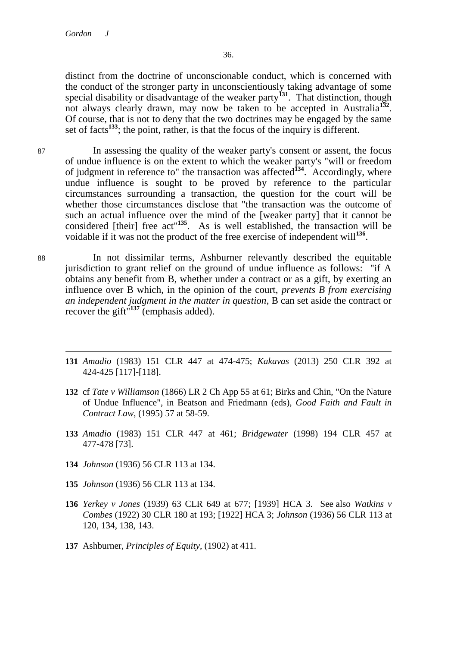distinct from the doctrine of unconscionable conduct, which is concerned with the conduct of the stronger party in unconscientiously taking advantage of some special disability or disadvantage of the weaker party<sup>131</sup>. That distinction, though not always clearly drawn, may now be taken to be accepted in Australia**<sup>132</sup>** . Of course, that is not to deny that the two doctrines may be engaged by the same set of facts<sup>133</sup>; the point, rather, is that the focus of the inquiry is different.

87 In assessing the quality of the weaker party's consent or assent, the focus of undue influence is on the extent to which the weaker party's "will or freedom of judgment in reference to" the transaction was affected**<sup>134</sup>**. Accordingly, where undue influence is sought to be proved by reference to the particular circumstances surrounding a transaction, the question for the court will be whether those circumstances disclose that "the transaction was the outcome of such an actual influence over the mind of the [weaker party] that it cannot be considered [their] free act"**<sup>135</sup>**. As is well established, the transaction will be voidable if it was not the product of the free exercise of independent will<sup>136</sup>.

88 In not dissimilar terms, Ashburner relevantly described the equitable jurisdiction to grant relief on the ground of undue influence as follows: "if A obtains any benefit from B, whether under a contract or as a gift, by exerting an influence over B which, in the opinion of the court, *prevents B from exercising an independent judgment in the matter in question*, B can set aside the contract or recover the gift"**<sup>137</sup>** (emphasis added).

- $\overline{a}$ **131** *Amadio* (1983) 151 CLR 447 at 474-475; *Kakavas* (2013) 250 CLR 392 at 424-425 [117]-[118].
- **132** cf *Tate v Williamson* (1866) LR 2 Ch App 55 at 61; Birks and Chin, "On the Nature of Undue Influence", in Beatson and Friedmann (eds), *Good Faith and Fault in Contract Law*, (1995) 57 at 58-59.
- **133** *Amadio* (1983) 151 CLR 447 at 461; *Bridgewater* (1998) 194 CLR 457 at 477-478 [73].
- **134** *Johnson* (1936) 56 CLR 113 at 134.
- **135** *Johnson* (1936) 56 CLR 113 at 134.
- **136** *Yerkey v Jones* (1939) 63 CLR 649 at 677; [1939] HCA 3. See also *Watkins v Combes* (1922) 30 CLR 180 at 193; [1922] HCA 3; *Johnson* (1936) 56 CLR 113 at 120, 134, 138, 143.
- **137** Ashburner, *Principles of Equity*, (1902) at 411.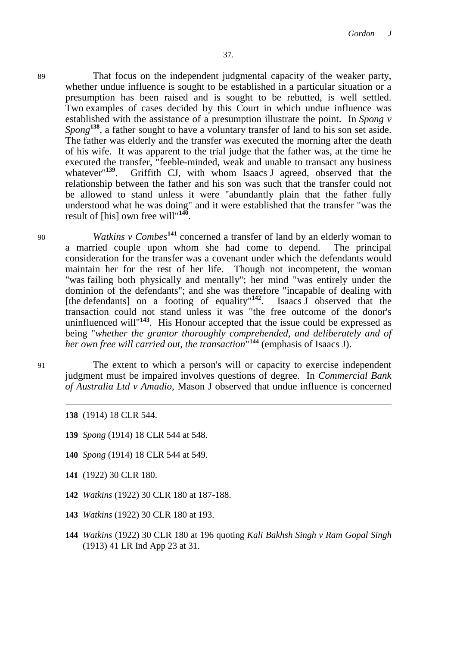89 That focus on the independent judgmental capacity of the weaker party, whether undue influence is sought to be established in a particular situation or a presumption has been raised and is sought to be rebutted, is well settled. Two examples of cases decided by this Court in which undue influence was established with the assistance of a presumption illustrate the point. In *Spong v Spong*<sup>138</sup>, a father sought to have a voluntary transfer of land to his son set aside. The father was elderly and the transfer was executed the morning after the death of his wife. It was apparent to the trial judge that the father was, at the time he executed the transfer, "feeble-minded, weak and unable to transact any business whatever <sup>139</sup>. Griffith CJ, with whom Isaacs J agreed, observed that the Griffith CJ, with whom Isaacs J agreed, observed that the relationship between the father and his son was such that the transfer could not be allowed to stand unless it were "abundantly plain that the father fully understood what he was doing" and it were established that the transfer "was the result of [his] own free will"**<sup>140</sup>** .

<sup>90</sup> *Watkins v Combes***<sup>141</sup>** concerned a transfer of land by an elderly woman to a married couple upon whom she had come to depend. The principal consideration for the transfer was a covenant under which the defendants would maintain her for the rest of her life. Though not incompetent, the woman "was failing both physically and mentally"; her mind "was entirely under the dominion of the defendants"; and she was therefore "incapable of dealing with [the defendants] on a footing of equality<sup>"142</sup>. Isaacs J observed that the transaction could not stand unless it was "the free outcome of the donor's uninfluenced will"**<sup>143</sup>**. His Honour accepted that the issue could be expressed as being "*whether the grantor thoroughly comprehended, and deliberately and of her own free will carried out, the transaction*" **<sup>144</sup>** (emphasis of Isaacs J).

91 The extent to which a person's will or capacity to exercise independent judgment must be impaired involves questions of degree. In *Commercial Bank of Australia Ltd v Amadio*, Mason J observed that undue influence is concerned

- **139** *Spong* (1914) 18 CLR 544 at 548.
- **140** *Spong* (1914) 18 CLR 544 at 549.
- **141** (1922) 30 CLR 180.
- **142** *Watkins* (1922) 30 CLR 180 at 187-188.
- **143** *Watkins* (1922) 30 CLR 180 at 193.
- **144** *Watkins* (1922) 30 CLR 180 at 196 quoting *Kali Bakhsh Singh v Ram Gopal Singh* (1913) 41 LR Ind App 23 at 31.

**<sup>138</sup>** (1914) 18 CLR 544.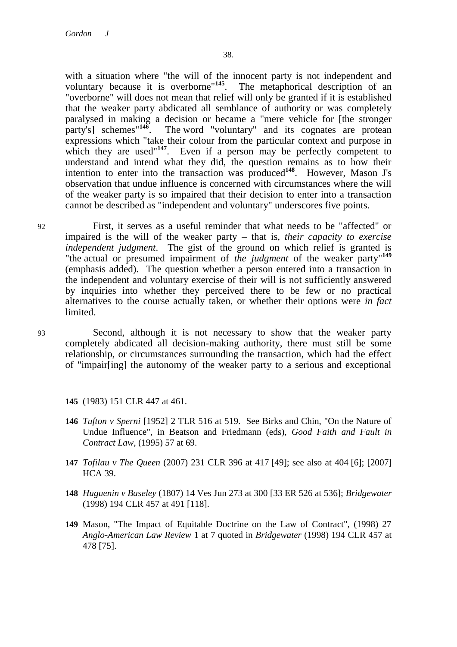with a situation where "the will of the innocent party is not independent and voluntary because it is overborne"**<sup>145</sup>**. The metaphorical description of an "overborne" will does not mean that relief will only be granted if it is established that the weaker party abdicated all semblance of authority or was completely paralysed in making a decision or became a "mere vehicle for [the stronger party's] schemes<sup>"146</sup>. The word "voluntary" and its cognates are protean expressions which "take their colour from the particular context and purpose in which they are used<sup>"147</sup>. Even if a person may be perfectly competent to understand and intend what they did, the question remains as to how their intention to enter into the transaction was produced**<sup>148</sup>**. However, Mason J's observation that undue influence is concerned with circumstances where the will of the weaker party is so impaired that their decision to enter into a transaction cannot be described as "independent and voluntary" underscores five points.

92 First, it serves as a useful reminder that what needs to be "affected" or impaired is the will of the weaker party – that is, *their capacity to exercise independent judgment*. The gist of the ground on which relief is granted is "the actual or presumed impairment of *the judgment* of the weaker party"**<sup>149</sup>** (emphasis added). The question whether a person entered into a transaction in the independent and voluntary exercise of their will is not sufficiently answered by inquiries into whether they perceived there to be few or no practical alternatives to the course actually taken, or whether their options were *in fact* limited.

 $\overline{a}$ 

93 Second, although it is not necessary to show that the weaker party completely abdicated all decision-making authority, there must still be some relationship, or circumstances surrounding the transaction, which had the effect of "impair[ing] the autonomy of the weaker party to a serious and exceptional

**145** (1983) 151 CLR 447 at 461.

- **146** *Tufton v Sperni* [1952] 2 TLR 516 at 519. See Birks and Chin, "On the Nature of Undue Influence", in Beatson and Friedmann (eds), *Good Faith and Fault in Contract Law*, (1995) 57 at 69.
- **147** *Tofilau v The Queen* (2007) 231 CLR 396 at 417 [49]; see also at 404 [6]; [2007] HCA 39.
- **148** *Huguenin v Baseley* (1807) 14 Ves Jun 273 at 300 [33 ER 526 at 536]; *Bridgewater* (1998) 194 CLR 457 at 491 [118].
- **149** Mason, "The Impact of Equitable Doctrine on the Law of Contract", (1998) 27 *Anglo-American Law Review* 1 at 7 quoted in *Bridgewater* (1998) 194 CLR 457 at 478 [75].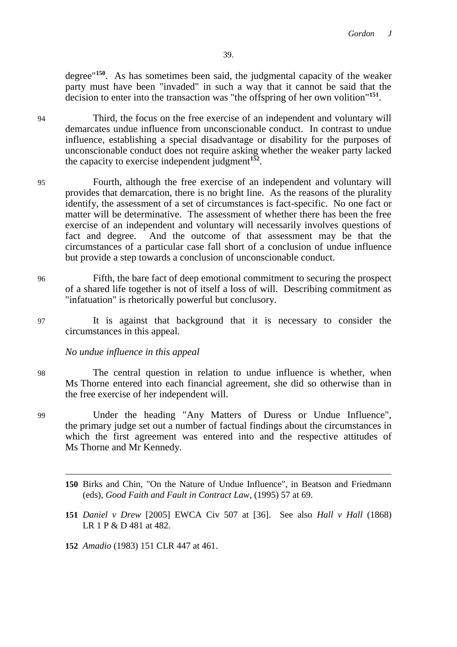degree"**<sup>150</sup>**. As has sometimes been said, the judgmental capacity of the weaker party must have been "invaded" in such a way that it cannot be said that the decision to enter into the transaction was "the offspring of her own volition"**<sup>151</sup>** .

94 Third, the focus on the free exercise of an independent and voluntary will demarcates undue influence from unconscionable conduct. In contrast to undue influence, establishing a special disadvantage or disability for the purposes of unconscionable conduct does not require asking whether the weaker party lacked the capacity to exercise independent judgment<sup>152</sup>.

- 95 Fourth, although the free exercise of an independent and voluntary will provides that demarcation, there is no bright line. As the reasons of the plurality identify, the assessment of a set of circumstances is fact-specific. No one fact or matter will be determinative. The assessment of whether there has been the free exercise of an independent and voluntary will necessarily involves questions of fact and degree. And the outcome of that assessment may be that the circumstances of a particular case fall short of a conclusion of undue influence but provide a step towards a conclusion of unconscionable conduct.
- 96 Fifth, the bare fact of deep emotional commitment to securing the prospect of a shared life together is not of itself a loss of will. Describing commitment as "infatuation" is rhetorically powerful but conclusory.
- 97 It is against that background that it is necessary to consider the circumstances in this appeal.

*No undue influence in this appeal*

- 98 The central question in relation to undue influence is whether, when Ms Thorne entered into each financial agreement, she did so otherwise than in the free exercise of her independent will.
- 99 Under the heading "Any Matters of Duress or Undue Influence", the primary judge set out a number of factual findings about the circumstances in which the first agreement was entered into and the respective attitudes of Ms Thorne and Mr Kennedy.
	- **150** Birks and Chin, "On the Nature of Undue Influence", in Beatson and Friedmann (eds), *Good Faith and Fault in Contract Law*, (1995) 57 at 69.
	- **151** *Daniel v Drew* [2005] EWCA Civ 507 at [36]. See also *Hall v Hall* (1868) LR 1 P & D 481 at 482.
	- **152** *Amadio* (1983) 151 CLR 447 at 461.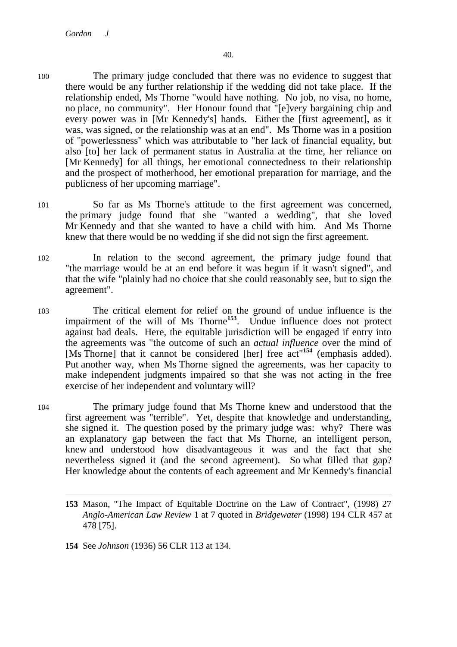- 100 The primary judge concluded that there was no evidence to suggest that there would be any further relationship if the wedding did not take place. If the relationship ended, Ms Thorne "would have nothing. No job, no visa, no home, no place, no community". Her Honour found that "[e]very bargaining chip and every power was in [Mr Kennedy's] hands. Either the [first agreement], as it was, was signed, or the relationship was at an end". Ms Thorne was in a position of "powerlessness" which was attributable to "her lack of financial equality, but also [to] her lack of permanent status in Australia at the time, her reliance on [Mr Kennedy] for all things, her emotional connectedness to their relationship and the prospect of motherhood, her emotional preparation for marriage, and the publicness of her upcoming marriage".
- 101 So far as Ms Thorne's attitude to the first agreement was concerned, the primary judge found that she "wanted a wedding", that she loved Mr Kennedy and that she wanted to have a child with him. And Ms Thorne knew that there would be no wedding if she did not sign the first agreement.
- 102 In relation to the second agreement, the primary judge found that "the marriage would be at an end before it was begun if it wasn't signed", and that the wife "plainly had no choice that she could reasonably see, but to sign the agreement".
- 103 The critical element for relief on the ground of undue influence is the impairment of the will of Ms Thorne**<sup>153</sup>** . Undue influence does not protect against bad deals. Here, the equitable jurisdiction will be engaged if entry into the agreements was "the outcome of such an *actual influence* over the mind of [Ms Thorne] that it cannot be considered [her] free act"**<sup>154</sup>** (emphasis added). Put another way, when Ms Thorne signed the agreements, was her capacity to make independent judgments impaired so that she was not acting in the free exercise of her independent and voluntary will?
- 104 The primary judge found that Ms Thorne knew and understood that the first agreement was "terrible". Yet, despite that knowledge and understanding, she signed it. The question posed by the primary judge was: why? There was an explanatory gap between the fact that Ms Thorne, an intelligent person, knew and understood how disadvantageous it was and the fact that she nevertheless signed it (and the second agreement). So what filled that gap? Her knowledge about the contents of each agreement and Mr Kennedy's financial

**<sup>153</sup>** Mason, "The Impact of Equitable Doctrine on the Law of Contract", (1998) 27 *Anglo-American Law Review* 1 at 7 quoted in *Bridgewater* (1998) 194 CLR 457 at 478 [75].

**<sup>154</sup>** See *Johnson* (1936) 56 CLR 113 at 134.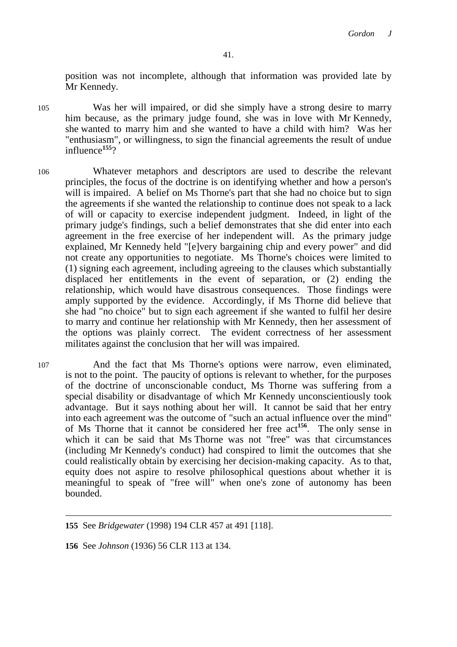position was not incomplete, although that information was provided late by Mr Kennedy.

105 Was her will impaired, or did she simply have a strong desire to marry him because, as the primary judge found, she was in love with Mr Kennedy, she wanted to marry him and she wanted to have a child with him? Was her "enthusiasm", or willingness, to sign the financial agreements the result of undue influence**<sup>155</sup>**?

- 106 Whatever metaphors and descriptors are used to describe the relevant principles, the focus of the doctrine is on identifying whether and how a person's will is impaired. A belief on Ms Thorne's part that she had no choice but to sign the agreements if she wanted the relationship to continue does not speak to a lack of will or capacity to exercise independent judgment. Indeed, in light of the primary judge's findings, such a belief demonstrates that she did enter into each agreement in the free exercise of her independent will. As the primary judge explained, Mr Kennedy held "[e]very bargaining chip and every power" and did not create any opportunities to negotiate. Ms Thorne's choices were limited to (1) signing each agreement, including agreeing to the clauses which substantially displaced her entitlements in the event of separation, or (2) ending the relationship, which would have disastrous consequences. Those findings were amply supported by the evidence. Accordingly, if Ms Thorne did believe that she had "no choice" but to sign each agreement if she wanted to fulfil her desire to marry and continue her relationship with Mr Kennedy, then her assessment of the options was plainly correct. The evident correctness of her assessment militates against the conclusion that her will was impaired.
- 107 And the fact that Ms Thorne's options were narrow, even eliminated, is not to the point. The paucity of options is relevant to whether, for the purposes of the doctrine of unconscionable conduct, Ms Thorne was suffering from a special disability or disadvantage of which Mr Kennedy unconscientiously took advantage. But it says nothing about her will. It cannot be said that her entry into each agreement was the outcome of "such an actual influence over the mind" of Ms Thorne that it cannot be considered her free act**<sup>156</sup>**. The only sense in which it can be said that Ms Thorne was not "free" was that circumstances (including Mr Kennedy's conduct) had conspired to limit the outcomes that she could realistically obtain by exercising her decision-making capacity. As to that, equity does not aspire to resolve philosophical questions about whether it is meaningful to speak of "free will" when one's zone of autonomy has been bounded.

**155** See *Bridgewater* (1998) 194 CLR 457 at 491 [118].

**156** See *Johnson* (1936) 56 CLR 113 at 134.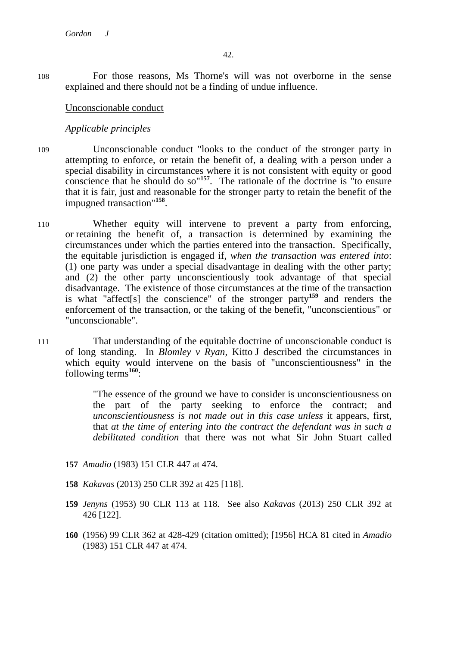108 For those reasons, Ms Thorne's will was not overborne in the sense explained and there should not be a finding of undue influence.

Unconscionable conduct

*Applicable principles*

- 109 Unconscionable conduct "looks to the conduct of the stronger party in attempting to enforce, or retain the benefit of, a dealing with a person under a special disability in circumstances where it is not consistent with equity or good conscience that he should do so"**<sup>157</sup>**. The rationale of the doctrine is "to ensure that it is fair, just and reasonable for the stronger party to retain the benefit of the impugned transaction"**<sup>158</sup>** .
- 110 Whether equity will intervene to prevent a party from enforcing, or retaining the benefit of, a transaction is determined by examining the circumstances under which the parties entered into the transaction. Specifically, the equitable jurisdiction is engaged if, *when the transaction was entered into*: (1) one party was under a special disadvantage in dealing with the other party; and (2) the other party unconscientiously took advantage of that special disadvantage. The existence of those circumstances at the time of the transaction is what "affect[s] the conscience" of the stronger party**<sup>159</sup>** and renders the enforcement of the transaction, or the taking of the benefit, "unconscientious" or "unconscionable".
- 111 That understanding of the equitable doctrine of unconscionable conduct is of long standing. In *Blomley v Ryan*, Kitto J described the circumstances in which equity would intervene on the basis of "unconscientiousness" in the following terms**<sup>160</sup>**:

"The essence of the ground we have to consider is unconscientiousness on the part of the party seeking to enforce the contract; and *unconscientiousness is not made out in this case unless* it appears, first, that *at the time of entering into the contract the defendant was in such a debilitated condition* that there was not what Sir John Stuart called

**157** *Amadio* (1983) 151 CLR 447 at 474.

 $\overline{a}$ 

**158** *Kakavas* (2013) 250 CLR 392 at 425 [118].

- **159** *Jenyns* (1953) 90 CLR 113 at 118. See also *Kakavas* (2013) 250 CLR 392 at 426 [122].
- **160** (1956) 99 CLR 362 at 428-429 (citation omitted); [1956] HCA 81 cited in *Amadio* (1983) 151 CLR 447 at 474.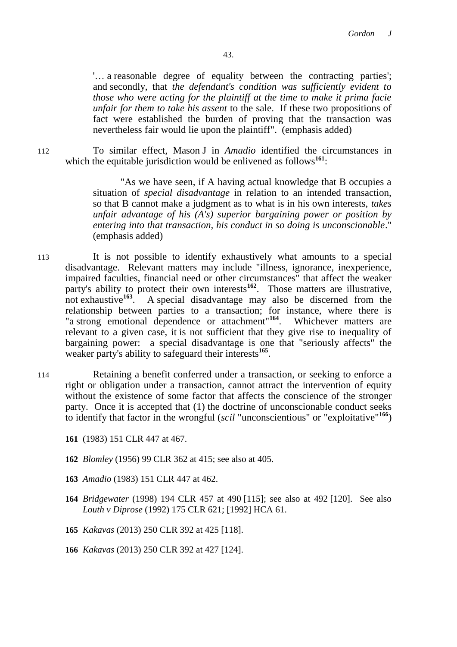'… a reasonable degree of equality between the contracting parties'; and secondly, that *the defendant's condition was sufficiently evident to those who were acting for the plaintiff at the time to make it prima facie unfair for them to take his assent* to the sale. If these two propositions of fact were established the burden of proving that the transaction was nevertheless fair would lie upon the plaintiff". (emphasis added)

112 To similar effect, Mason J in *Amadio* identified the circumstances in which the equitable jurisdiction would be enlivened as follows<sup>161</sup>:

> "As we have seen, if A having actual knowledge that B occupies a situation of *special disadvantage* in relation to an intended transaction, so that B cannot make a judgment as to what is in his own interests, *takes unfair advantage of his (A's) superior bargaining power or position by entering into that transaction, his conduct in so doing is unconscionable*." (emphasis added)

- 113 It is not possible to identify exhaustively what amounts to a special disadvantage. Relevant matters may include "illness, ignorance, inexperience, impaired faculties, financial need or other circumstances" that affect the weaker party's ability to protect their own interests**<sup>162</sup>**. Those matters are illustrative, not exhaustive**<sup>163</sup>** . A special disadvantage may also be discerned from the relationship between parties to a transaction; for instance, where there is "a strong emotional dependence or attachment"**<sup>164</sup>**. Whichever matters are relevant to a given case, it is not sufficient that they give rise to inequality of bargaining power: a special disadvantage is one that "seriously affects" the weaker party's ability to safeguard their interests<sup>165</sup>.
- 114 Retaining a benefit conferred under a transaction, or seeking to enforce a right or obligation under a transaction, cannot attract the intervention of equity without the existence of some factor that affects the conscience of the stronger party. Once it is accepted that (1) the doctrine of unconscionable conduct seeks to identify that factor in the wrongful (*scil* "unconscientious" or "exploitative"**<sup>166</sup>**)
	- **161** (1983) 151 CLR 447 at 467.
	- **162** *Blomley* (1956) 99 CLR 362 at 415; see also at 405.
	- **163** *Amadio* (1983) 151 CLR 447 at 462.
	- **164** *Bridgewater* (1998) 194 CLR 457 at 490 [115]; see also at 492 [120]. See also *Louth v Diprose* (1992) 175 CLR 621; [1992] HCA 61.
	- **165** *Kakavas* (2013) 250 CLR 392 at 425 [118].
	- **166** *Kakavas* (2013) 250 CLR 392 at 427 [124].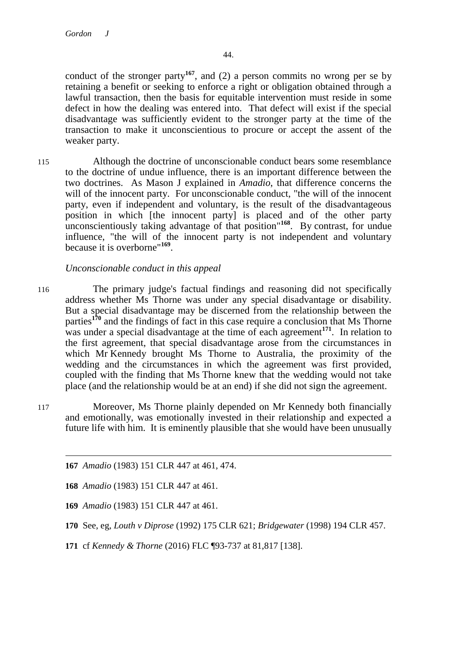conduct of the stronger party**<sup>167</sup>**, and (2) a person commits no wrong per se by retaining a benefit or seeking to enforce a right or obligation obtained through a lawful transaction, then the basis for equitable intervention must reside in some defect in how the dealing was entered into. That defect will exist if the special disadvantage was sufficiently evident to the stronger party at the time of the transaction to make it unconscientious to procure or accept the assent of the weaker party.

115 Although the doctrine of unconscionable conduct bears some resemblance to the doctrine of undue influence, there is an important difference between the two doctrines. As Mason J explained in *Amadio*, that difference concerns the will of the innocent party. For unconscionable conduct, "the will of the innocent party, even if independent and voluntary, is the result of the disadvantageous position in which [the innocent party] is placed and of the other party unconscientiously taking advantage of that position"**<sup>168</sup>**. By contrast, for undue influence, "the will of the innocent party is not independent and voluntary because it is overborne"**<sup>169</sup>** .

# *Unconscionable conduct in this appeal*

- 116 The primary judge's factual findings and reasoning did not specifically address whether Ms Thorne was under any special disadvantage or disability. But a special disadvantage may be discerned from the relationship between the parties**<sup>170</sup>** and the findings of fact in this case require a conclusion that Ms Thorne was under a special disadvantage at the time of each agreement<sup>171</sup>. In relation to the first agreement, that special disadvantage arose from the circumstances in which Mr Kennedy brought Ms Thorne to Australia, the proximity of the wedding and the circumstances in which the agreement was first provided, coupled with the finding that Ms Thorne knew that the wedding would not take place (and the relationship would be at an end) if she did not sign the agreement.
- 117 Moreover, Ms Thorne plainly depended on Mr Kennedy both financially and emotionally, was emotionally invested in their relationship and expected a future life with him. It is eminently plausible that she would have been unusually

 $\overline{a}$ **167** *Amadio* (1983) 151 CLR 447 at 461, 474.

**168** *Amadio* (1983) 151 CLR 447 at 461.

**169** *Amadio* (1983) 151 CLR 447 at 461.

**171** cf *Kennedy & Thorne* (2016) FLC ¶93-737 at 81,817 [138].

**<sup>170</sup>** See, eg, *Louth v Diprose* (1992) 175 CLR 621; *Bridgewater* (1998) 194 CLR 457.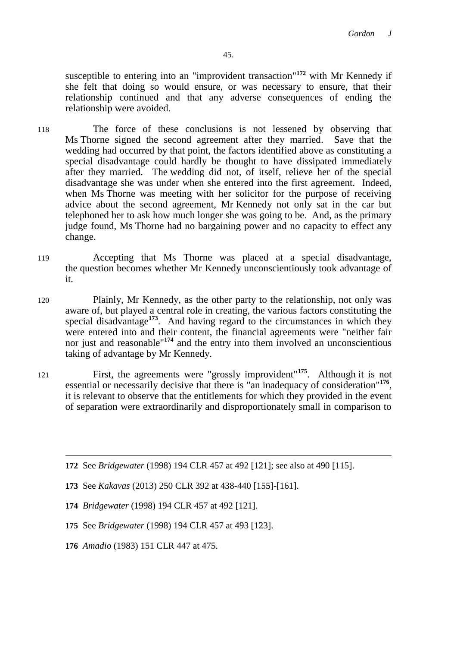susceptible to entering into an "improvident transaction"**<sup>172</sup>** with Mr Kennedy if she felt that doing so would ensure, or was necessary to ensure, that their relationship continued and that any adverse consequences of ending the relationship were avoided.

- 118 The force of these conclusions is not lessened by observing that Ms Thorne signed the second agreement after they married. Save that the wedding had occurred by that point, the factors identified above as constituting a special disadvantage could hardly be thought to have dissipated immediately after they married. The wedding did not, of itself, relieve her of the special disadvantage she was under when she entered into the first agreement. Indeed, when Ms Thorne was meeting with her solicitor for the purpose of receiving advice about the second agreement, Mr Kennedy not only sat in the car but telephoned her to ask how much longer she was going to be. And, as the primary judge found, Ms Thorne had no bargaining power and no capacity to effect any change.
- 119 Accepting that Ms Thorne was placed at a special disadvantage, the question becomes whether Mr Kennedy unconscientiously took advantage of it.
- 120 Plainly, Mr Kennedy, as the other party to the relationship, not only was aware of, but played a central role in creating, the various factors constituting the special disadvantage<sup>173</sup>. And having regard to the circumstances in which they were entered into and their content, the financial agreements were "neither fair nor just and reasonable"**<sup>174</sup>** and the entry into them involved an unconscientious taking of advantage by Mr Kennedy.
- <sup>121</sup> First, the agreements were "grossly improvident"**<sup>175</sup>**. Although it is not essential or necessarily decisive that there is "an inadequacy of consideration"<sup>176</sup>, it is relevant to observe that the entitlements for which they provided in the event of separation were extraordinarily and disproportionately small in comparison to

**172** See *Bridgewater* (1998) 194 CLR 457 at 492 [121]; see also at 490 [115].

**176** *Amadio* (1983) 151 CLR 447 at 475.

**<sup>173</sup>** See *Kakavas* (2013) 250 CLR 392 at 438-440 [155]-[161].

**<sup>174</sup>** *Bridgewater* (1998) 194 CLR 457 at 492 [121].

**<sup>175</sup>** See *Bridgewater* (1998) 194 CLR 457 at 493 [123].